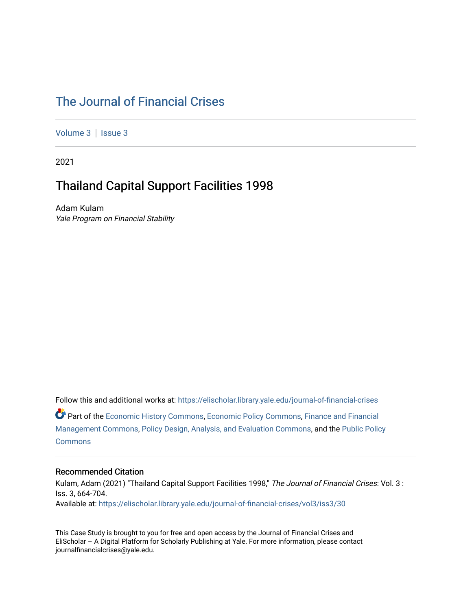### [The Journal of Financial Crises](https://elischolar.library.yale.edu/journal-of-financial-crises)

[Volume 3](https://elischolar.library.yale.edu/journal-of-financial-crises/vol3) | Issue 3

2021

### Thailand Capital Support Facilities 1998

Adam Kulam Yale Program on Financial Stability

Follow this and additional works at: [https://elischolar.library.yale.edu/journal-of-financial-crises](https://elischolar.library.yale.edu/journal-of-financial-crises?utm_source=elischolar.library.yale.edu%2Fjournal-of-financial-crises%2Fvol3%2Fiss3%2F30&utm_medium=PDF&utm_campaign=PDFCoverPages)  Part of the [Economic History Commons](http://network.bepress.com/hgg/discipline/343?utm_source=elischolar.library.yale.edu%2Fjournal-of-financial-crises%2Fvol3%2Fiss3%2F30&utm_medium=PDF&utm_campaign=PDFCoverPages), [Economic Policy Commons,](http://network.bepress.com/hgg/discipline/1025?utm_source=elischolar.library.yale.edu%2Fjournal-of-financial-crises%2Fvol3%2Fiss3%2F30&utm_medium=PDF&utm_campaign=PDFCoverPages) [Finance and Financial](http://network.bepress.com/hgg/discipline/631?utm_source=elischolar.library.yale.edu%2Fjournal-of-financial-crises%2Fvol3%2Fiss3%2F30&utm_medium=PDF&utm_campaign=PDFCoverPages)  [Management Commons](http://network.bepress.com/hgg/discipline/631?utm_source=elischolar.library.yale.edu%2Fjournal-of-financial-crises%2Fvol3%2Fiss3%2F30&utm_medium=PDF&utm_campaign=PDFCoverPages), [Policy Design, Analysis, and Evaluation Commons,](http://network.bepress.com/hgg/discipline/1032?utm_source=elischolar.library.yale.edu%2Fjournal-of-financial-crises%2Fvol3%2Fiss3%2F30&utm_medium=PDF&utm_campaign=PDFCoverPages) and the [Public Policy](http://network.bepress.com/hgg/discipline/400?utm_source=elischolar.library.yale.edu%2Fjournal-of-financial-crises%2Fvol3%2Fiss3%2F30&utm_medium=PDF&utm_campaign=PDFCoverPages)  **[Commons](http://network.bepress.com/hgg/discipline/400?utm_source=elischolar.library.yale.edu%2Fjournal-of-financial-crises%2Fvol3%2Fiss3%2F30&utm_medium=PDF&utm_campaign=PDFCoverPages)** 

#### Recommended Citation

Kulam, Adam (2021) "Thailand Capital Support Facilities 1998," The Journal of Financial Crises: Vol. 3 : Iss. 3, 664-704. Available at: [https://elischolar.library.yale.edu/journal-of-financial-crises/vol3/iss3/30](https://elischolar.library.yale.edu/journal-of-financial-crises/vol3/iss3/30?utm_source=elischolar.library.yale.edu%2Fjournal-of-financial-crises%2Fvol3%2Fiss3%2F30&utm_medium=PDF&utm_campaign=PDFCoverPages) 

This Case Study is brought to you for free and open access by the Journal of Financial Crises and EliScholar – A Digital Platform for Scholarly Publishing at Yale. For more information, please contact journalfinancialcrises@yale.edu.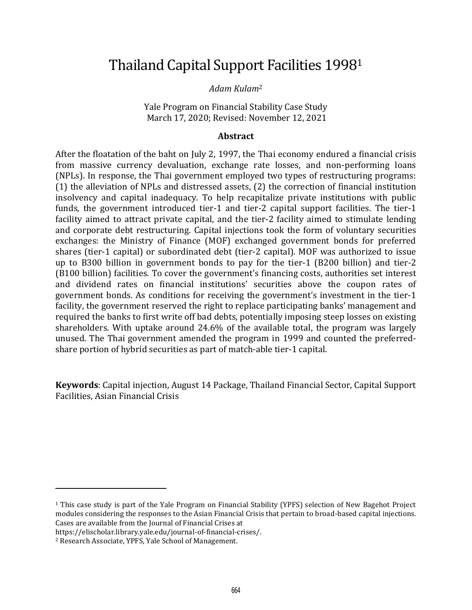## Thailand Capital Support Facilities 1998<sup>1</sup>

*Adam Kulam*<sup>2</sup>

Yale Program on Financial Stability Case Study March 17, 2020; Revised: November 12, 2021

#### **Abstract**

After the floatation of the baht on July 2, 1997, the Thai economy endured a financial crisis from massive currency devaluation, exchange rate losses, and non-performing loans (NPLs). In response, the Thai government employed two types of restructuring programs: (1) the alleviation of NPLs and distressed assets, (2) the correction of financial institution insolvency and capital inadequacy. To help recapitalize private institutions with public funds, the government introduced tier-1 and tier-2 capital support facilities. The tier-1 facility aimed to attract private capital, and the tier-2 facility aimed to stimulate lending and corporate debt restructuring. Capital injections took the form of voluntary securities exchanges: the Ministry of Finance (MOF) exchanged government bonds for preferred shares (tier-1 capital) or subordinated debt (tier-2 capital). MOF was authorized to issue up to B300 billion in government bonds to pay for the tier-1 (B200 billion) and tier-2 (B100 billion) facilities. To cover the government's financing costs, authorities set interest and dividend rates on financial institutions' securities above the coupon rates of government bonds. As conditions for receiving the government's investment in the tier-1 facility, the government reserved the right to replace participating banks' management and required the banks to first write off bad debts, potentially imposing steep losses on existing shareholders. With uptake around 24.6% of the available total, the program was largely unused. The Thai government amended the program in 1999 and counted the preferredshare portion of hybrid securities as part of match-able tier-1 capital.

**Keywords**: Capital injection, August 14 Package, Thailand Financial Sector, Capital Support Facilities, Asian Financial Crisis

<sup>1</sup> This case study is part of the Yale Program on Financial Stability (YPFS) selection of New Bagehot Project modules considering the responses to the Asian Financial Crisis that pertain to broad-based capital injections. Cases are available from the Journal of Financial Crises at

https://elischolar.library.yale.edu/journal-of-financial-crises/.

<sup>2</sup> Research Associate, YPFS, Yale School of Management.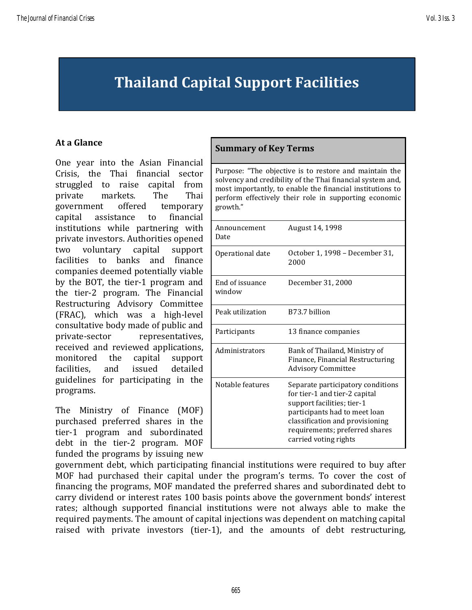# **Thailand Capital Support Facilities**

#### **At a Glance**

One year into the Asian Financial Crisis, the Thai financial sector struggled to raise capital from private markets. The Thai government offered temporary capital assistance to financial institutions while partnering with private investors. Authorities opened two voluntary capital support facilities to banks and finance companies deemed potentially viable by the BOT, the tier-1 program and the tier-2 program. The Financial Restructuring Advisory Committee (FRAC), which was a high-level consultative body made of public and private-sector representatives, received and reviewed applications, monitored the capital support facilities, and issued detailed guidelines for participating in the programs.

The Ministry of Finance (MOF) purchased preferred shares in the tier-1 program and subordinated debt in the tier-2 program. MOF funded the programs by issuing new

#### **Summary of Key Terms**

Purpose: "The objective is to restore and maintain the solvency and credibility of the Thai financial system and, most importantly, to enable the financial institutions to perform effectively their role in supporting economic growth."

| Announcement<br>Date      | August 14, 1998                                                                                                                                                                                                                 |
|---------------------------|---------------------------------------------------------------------------------------------------------------------------------------------------------------------------------------------------------------------------------|
| Operational date          | October 1, 1998 – December 31,<br>2000                                                                                                                                                                                          |
| End of issuance<br>window | December 31, 2000                                                                                                                                                                                                               |
| Peak utilization          | B73.7 billion                                                                                                                                                                                                                   |
| Participants              | 13 finance companies                                                                                                                                                                                                            |
| Administrators            | Bank of Thailand, Ministry of<br>Finance, Financial Restructuring<br><b>Advisory Committee</b>                                                                                                                                  |
| Notable features          | Separate participatory conditions<br>for tier-1 and tier-2 capital<br>support facilities; tier-1<br>participants had to meet loan<br>classification and provisioning<br>requirements; preferred shares<br>carried voting rights |

government debt, which participating financial institutions were required to buy after MOF had purchased their capital under the program's terms. To cover the cost of financing the programs, MOF mandated the preferred shares and subordinated debt to carry dividend or interest rates 100 basis points above the government bonds' interest rates; although supported financial institutions were not always able to make the required payments. The amount of capital injections was dependent on matching capital raised with private investors (tier-1), and the amounts of debt restructuring,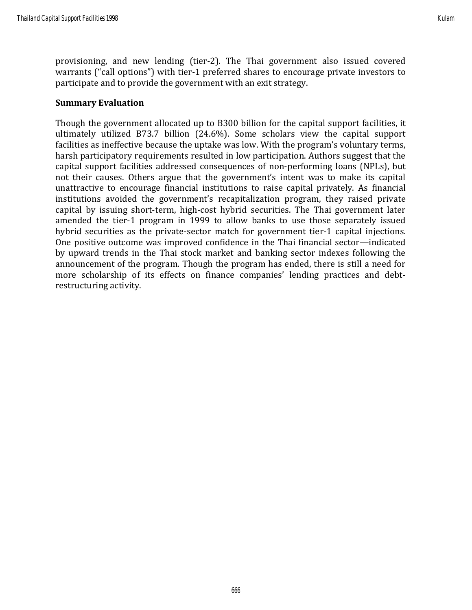provisioning, and new lending (tier-2). The Thai government also issued covered warrants ("call options") with tier-1 preferred shares to encourage private investors to participate and to provide the government with an exit strategy.

#### **Summary Evaluation**

Though the government allocated up to B300 billion for the capital support facilities, it ultimately utilized B73.7 billion (24.6%). Some scholars view the capital support facilities as ineffective because the uptake was low. With the program's voluntary terms, harsh participatory requirements resulted in low participation. Authors suggest that the capital support facilities addressed consequences of non-performing loans (NPLs), but not their causes. Others argue that the government's intent was to make its capital unattractive to encourage financial institutions to raise capital privately. As financial institutions avoided the government's recapitalization program, they raised private capital by issuing short-term, high-cost hybrid securities. The Thai government later amended the tier-1 program in 1999 to allow banks to use those separately issued hybrid securities as the private-sector match for government tier-1 capital injections. One positive outcome was improved confidence in the Thai financial sector—indicated by upward trends in the Thai stock market and banking sector indexes following the announcement of the program. Though the program has ended, there is still a need for more scholarship of its effects on finance companies' lending practices and debtrestructuring activity.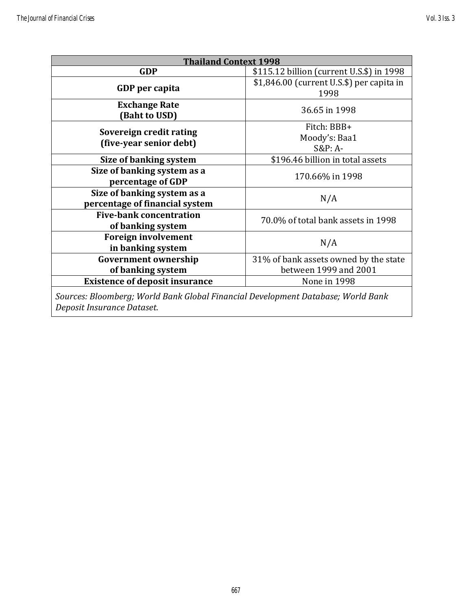| <b>Thailand Context 1998</b>                                                     |                                           |  |  |  |
|----------------------------------------------------------------------------------|-------------------------------------------|--|--|--|
| <b>GDP</b>                                                                       | \$115.12 billion (current U.S.\$) in 1998 |  |  |  |
|                                                                                  | \$1,846.00 (current U.S.\$) per capita in |  |  |  |
| GDP per capita                                                                   | 1998                                      |  |  |  |
| <b>Exchange Rate</b>                                                             | 36.65 in 1998                             |  |  |  |
| (Baht to USD)                                                                    |                                           |  |  |  |
|                                                                                  | Fitch: BBB+                               |  |  |  |
| Sovereign credit rating<br>(five-year senior debt)                               | Moody's: Baa1                             |  |  |  |
|                                                                                  | $S\&P: A-$                                |  |  |  |
| Size of banking system                                                           | \$196.46 billion in total assets          |  |  |  |
| Size of banking system as a                                                      | 170.66% in 1998                           |  |  |  |
| percentage of GDP                                                                |                                           |  |  |  |
| Size of banking system as a                                                      | N/A                                       |  |  |  |
| percentage of financial system                                                   |                                           |  |  |  |
| <b>Five-bank concentration</b>                                                   | 70.0% of total bank assets in 1998        |  |  |  |
| of banking system                                                                |                                           |  |  |  |
| <b>Foreign involvement</b>                                                       | N/A                                       |  |  |  |
| in banking system                                                                |                                           |  |  |  |
| <b>Government ownership</b>                                                      | 31% of bank assets owned by the state     |  |  |  |
| of banking system                                                                | between 1999 and 2001                     |  |  |  |
| <b>Existence of deposit insurance</b>                                            | None in 1998                              |  |  |  |
| Sources: Bloomberg; World Bank Global Financial Development Database; World Bank |                                           |  |  |  |
| Deposit Insurance Dataset.                                                       |                                           |  |  |  |
|                                                                                  |                                           |  |  |  |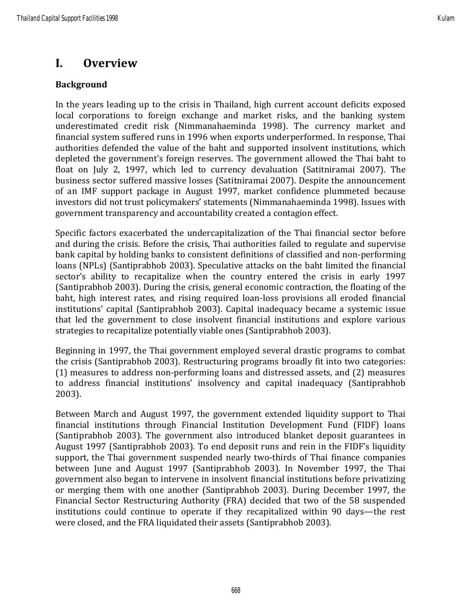### **I. Overview**

#### **Background**

In the years leading up to the crisis in Thailand, high current account deficits exposed local corporations to foreign exchange and market risks, and the banking system underestimated credit risk (Nimmanahaeminda 1998). The currency market and financial system suffered runs in 1996 when exports underperformed. In response, Thai authorities defended the value of the baht and supported insolvent institutions, which depleted the government's foreign reserves. The government allowed the Thai baht to float on July 2, 1997, which led to currency devaluation (Satitniramai 2007). The business sector suffered massive losses (Satitniramai 2007). Despite the announcement of an IMF support package in August 1997, market confidence plummeted because investors did not trust policymakers' statements (Nimmanahaeminda 1998). Issues with government transparency and accountability created a contagion effect.

Specific factors exacerbated the undercapitalization of the Thai financial sector before and during the crisis. Before the crisis, Thai authorities failed to regulate and supervise bank capital by holding banks to consistent definitions of classified and non-performing loans (NPLs) (Santiprabhob 2003). Speculative attacks on the baht limited the financial sector's ability to recapitalize when the country entered the crisis in early 1997 (Santiprabhob 2003). During the crisis, general economic contraction, the floating of the baht, high interest rates, and rising required loan-loss provisions all eroded financial institutions' capital (Santiprabhob 2003). Capital inadequacy became a systemic issue that led the government to close insolvent financial institutions and explore various strategies to recapitalize potentially viable ones (Santiprabhob 2003).

Beginning in 1997, the Thai government employed several drastic programs to combat the crisis (Santiprabhob 2003). Restructuring programs broadly fit into two categories: (1) measures to address non-performing loans and distressed assets, and (2) measures to address financial institutions' insolvency and capital inadequacy (Santiprabhob 2003).

Between March and August 1997, the government extended liquidity support to Thai financial institutions through Financial Institution Development Fund (FIDF) loans (Santiprabhob 2003). The government also introduced blanket deposit guarantees in August 1997 (Santiprabhob 2003). To end deposit runs and rein in the FIDF's liquidity support, the Thai government suspended nearly two-thirds of Thai finance companies between June and August 1997 (Santiprabhob 2003). In November 1997, the Thai government also began to intervene in insolvent financial institutions before privatizing or merging them with one another (Santiprabhob 2003). During December 1997, the Financial Sector Restructuring Authority (FRA) decided that two of the 58 suspended institutions could continue to operate if they recapitalized within 90 days—the rest were closed, and the FRA liquidated their assets (Santiprabhob 2003).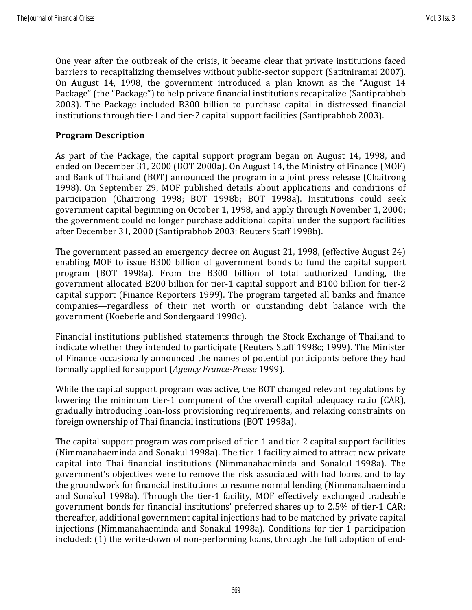One year after the outbreak of the crisis, it became clear that private institutions faced barriers to recapitalizing themselves without public-sector support (Satitniramai 2007). On August 14, 1998, the government introduced a plan known as the "August 14 Package" (the "Package") to help private financial institutions recapitalize (Santiprabhob 2003). The Package included B300 billion to purchase capital in distressed financial institutions through tier-1 and tier-2 capital support facilities (Santiprabhob 2003).

#### **Program Description**

As part of the Package, the capital support program began on August 14, 1998, and ended on December 31, 2000 (BOT 2000a). On August 14, the Ministry of Finance (MOF) and Bank of Thailand (BOT) announced the program in a joint press release (Chaitrong 1998). On September 29, MOF published details about applications and conditions of participation (Chaitrong 1998; BOT 1998b; BOT 1998a). Institutions could seek government capital beginning on October 1, 1998, and apply through November 1, 2000; the government could no longer purchase additional capital under the support facilities after December 31, 2000 (Santiprabhob 2003; Reuters Staff 1998b).

The government passed an emergency decree on August 21, 1998, (effective August 24) enabling MOF to issue B300 billion of government bonds to fund the capital support program (BOT 1998a). From the B300 billion of total authorized funding, the government allocated B200 billion for tier-1 capital support and B100 billion for tier-2 capital support (Finance Reporters 1999). The program targeted all banks and finance companies—regardless of their net worth or outstanding debt balance with the government (Koeberle and Sondergaard 1998c).

Financial institutions published statements through the Stock Exchange of Thailand to indicate whether they intended to participate (Reuters Staff 1998c; 1999). The Minister of Finance occasionally announced the names of potential participants before they had formally applied for support (*Agency France-Presse* 1999).

While the capital support program was active, the BOT changed relevant regulations by lowering the minimum tier-1 component of the overall capital adequacy ratio (CAR), gradually introducing loan-loss provisioning requirements, and relaxing constraints on foreign ownership of Thai financial institutions (BOT 1998a).

The capital support program was comprised of tier-1 and tier-2 capital support facilities (Nimmanahaeminda and Sonakul 1998a). The tier-1 facility aimed to attract new private capital into Thai financial institutions (Nimmanahaeminda and Sonakul 1998a). The government's objectives were to remove the risk associated with bad loans, and to lay the groundwork for financial institutions to resume normal lending (Nimmanahaeminda and Sonakul 1998a). Through the tier-1 facility, MOF effectively exchanged tradeable government bonds for financial institutions' preferred shares up to 2.5% of tier-1 CAR; thereafter, additional government capital injections had to be matched by private capital injections (Nimmanahaeminda and Sonakul 1998a). Conditions for tier-1 participation included: (1) the write-down of non-performing loans, through the full adoption of end-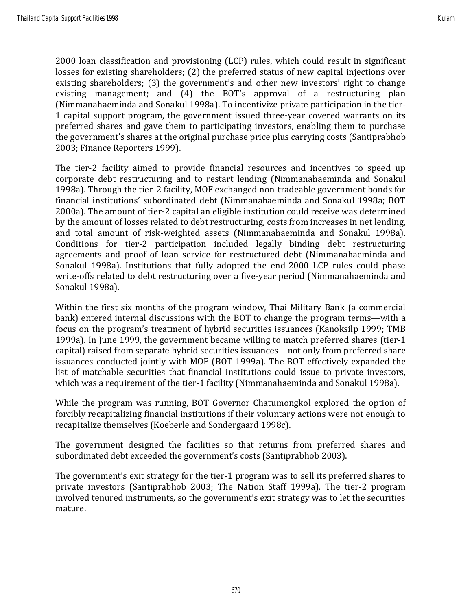2000 loan classification and provisioning (LCP) rules, which could result in significant losses for existing shareholders; (2) the preferred status of new capital injections over existing shareholders; (3) the government's and other new investors' right to change existing management; and (4) the BOT's approval of a restructuring plan (Nimmanahaeminda and Sonakul 1998a). To incentivize private participation in the tier-1 capital support program, the government issued three-year covered warrants on its preferred shares and gave them to participating investors, enabling them to purchase the government's shares at the original purchase price plus carrying costs (Santiprabhob 2003; Finance Reporters 1999).

The tier-2 facility aimed to provide financial resources and incentives to speed up corporate debt restructuring and to restart lending (Nimmanahaeminda and Sonakul 1998a). Through the tier-2 facility, MOF exchanged non-tradeable government bonds for financial institutions' subordinated debt (Nimmanahaeminda and Sonakul 1998a; BOT 2000a). The amount of tier-2 capital an eligible institution could receive was determined by the amount of losses related to debt restructuring, costs from increases in net lending, and total amount of risk-weighted assets (Nimmanahaeminda and Sonakul 1998a). Conditions for tier-2 participation included legally binding debt restructuring agreements and proof of loan service for restructured debt (Nimmanahaeminda and Sonakul 1998a). Institutions that fully adopted the end-2000 LCP rules could phase write-offs related to debt restructuring over a five-year period (Nimmanahaeminda and Sonakul 1998a).

Within the first six months of the program window, Thai Military Bank (a commercial bank) entered internal discussions with the BOT to change the program terms—with a focus on the program's treatment of hybrid securities issuances (Kanoksilp 1999; TMB 1999a). In June 1999, the government became willing to match preferred shares (tier-1 capital) raised from separate hybrid securities issuances—not only from preferred share issuances conducted jointly with MOF (BOT 1999a). The BOT effectively expanded the list of matchable securities that financial institutions could issue to private investors, which was a requirement of the tier-1 facility (Nimmanahaeminda and Sonakul 1998a).

While the program was running, BOT Governor Chatumongkol explored the option of forcibly recapitalizing financial institutions if their voluntary actions were not enough to recapitalize themselves (Koeberle and Sondergaard 1998c).

The government designed the facilities so that returns from preferred shares and subordinated debt exceeded the government's costs (Santiprabhob 2003).

The government's exit strategy for the tier-1 program was to sell its preferred shares to private investors (Santiprabhob 2003; The Nation Staff 1999a). The tier-2 program involved tenured instruments, so the government's exit strategy was to let the securities mature.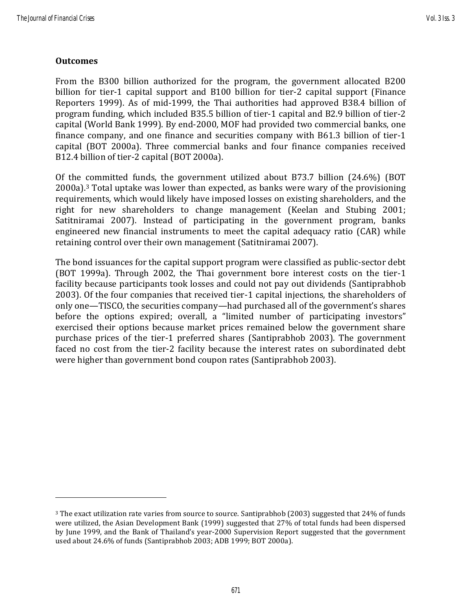#### **Outcomes**

From the B300 billion authorized for the program, the government allocated B200 billion for tier-1 capital support and B100 billion for tier-2 capital support (Finance Reporters 1999). As of mid-1999, the Thai authorities had approved B38.4 billion of program funding, which included B35.5 billion of tier-1 capital and B2.9 billion of tier-2 capital (World Bank 1999). By end-2000, MOF had provided two commercial banks, one finance company, and one finance and securities company with B61.3 billion of tier-1 capital (BOT 2000a). Three commercial banks and four finance companies received B12.4 billion of tier-2 capital (BOT 2000a).

Of the committed funds, the government utilized about B73.7 billion (24.6%) (BOT  $2000a$ ).<sup>3</sup> Total uptake was lower than expected, as banks were wary of the provisioning requirements, which would likely have imposed losses on existing shareholders, and the right for new shareholders to change management (Keelan and Stubing 2001; Satitniramai 2007). Instead of participating in the government program, banks engineered new financial instruments to meet the capital adequacy ratio (CAR) while retaining control over their own management (Satitniramai 2007).

The bond issuances for the capital support program were classified as public-sector debt (BOT 1999a). Through 2002, the Thai government bore interest costs on the tier-1 facility because participants took losses and could not pay out dividends (Santiprabhob 2003). Of the four companies that received tier-1 capital injections, the shareholders of only one—TISCO, the securities company—had purchased all of the government's shares before the options expired; overall, a "limited number of participating investors" exercised their options because market prices remained below the government share purchase prices of the tier-1 preferred shares (Santiprabhob 2003). The government faced no cost from the tier-2 facility because the interest rates on subordinated debt were higher than government bond coupon rates (Santiprabhob 2003).

<sup>&</sup>lt;sup>3</sup> The exact utilization rate varies from source to source. Santiprabhob (2003) suggested that 24% of funds were utilized, the Asian Development Bank (1999) suggested that 27% of total funds had been dispersed by June 1999, and the Bank of Thailand's year-2000 Supervision Report suggested that the government used about 24.6% of funds (Santiprabhob 2003; ADB 1999; BOT 2000a).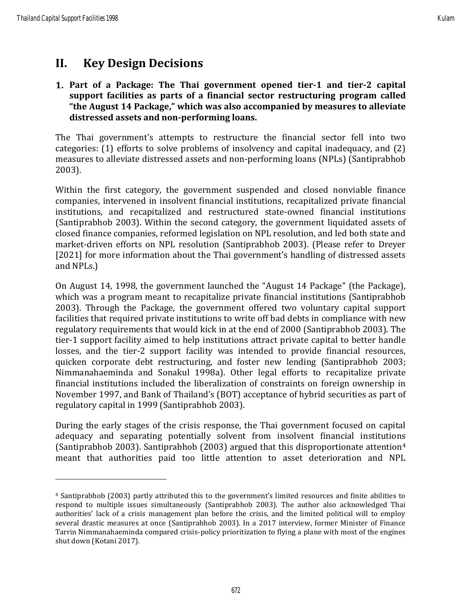### **II. Key Design Decisions**

#### **Part of a Package: The Thai government opened tier-1 and tier-2 capital support facilities as parts of a financial sector restructuring program called "the August 14 Package," which was also accompanied by measures to alleviate distressed assets and non-performing loans.**

The Thai government's attempts to restructure the financial sector fell into two categories: (1) efforts to solve problems of insolvency and capital inadequacy, and (2) measures to alleviate distressed assets and non-performing loans (NPLs) (Santiprabhob 2003).

Within the first category, the government suspended and closed nonviable finance companies, intervened in insolvent financial institutions, recapitalized private financial institutions, and recapitalized and restructured state-owned financial institutions (Santiprabhob 2003). Within the second category, the government liquidated assets of closed finance companies, reformed legislation on NPL resolution, and led both state and market-driven efforts on NPL resolution (Santiprabhob 2003). (Please refer to Dreyer [2021] for more information about the Thai government's handling of distressed assets and NPLs.)

On August 14, 1998, the government launched the "August 14 Package" (the Package), which was a program meant to recapitalize private financial institutions (Santiprabhob 2003). Through the Package, the government offered two voluntary capital support facilities that required private institutions to write off bad debts in compliance with new regulatory requirements that would kick in at the end of 2000 (Santiprabhob 2003). The tier-1 support facility aimed to help institutions attract private capital to better handle losses, and the tier-2 support facility was intended to provide financial resources, quicken corporate debt restructuring, and foster new lending (Santiprabhob 2003; Nimmanahaeminda and Sonakul 1998a). Other legal efforts to recapitalize private financial institutions included the liberalization of constraints on foreign ownership in November 1997, and Bank of Thailand's (BOT) acceptance of hybrid securities as part of regulatory capital in 1999 (Santiprabhob 2003).

During the early stages of the crisis response, the Thai government focused on capital adequacy and separating potentially solvent from insolvent financial institutions (Santiprabhob 2003). Santiprabhob (2003) argued that this disproportionate attention<sup>4</sup> meant that authorities paid too little attention to asset deterioration and NPL

<sup>4</sup> Santiprabhob (2003) partly attributed this to the government's limited resources and finite abilities to respond to multiple issues simultaneously (Santiprabhob 2003). The author also acknowledged Thai authorities' lack of a crisis management plan before the crisis, and the limited political will to employ several drastic measures at once (Santiprabhob 2003). In a 2017 interview, former Minister of Finance Tarrin Nimmanahaeminda compared crisis-policy prioritization to flying a plane with most of the engines shut down (Kotani 2017).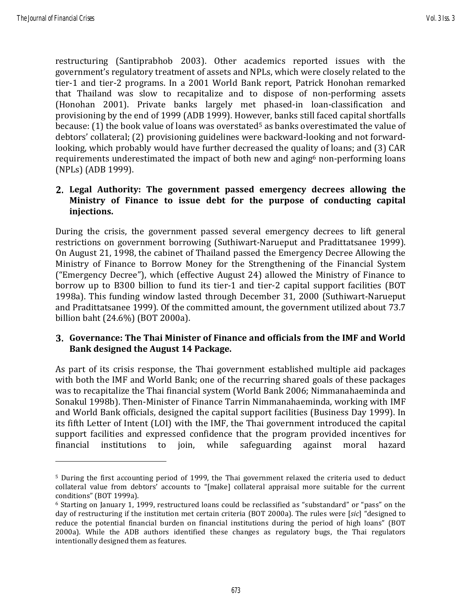restructuring (Santiprabhob 2003). Other academics reported issues with the government's regulatory treatment of assets and NPLs, which were closely related to the tier-1 and tier-2 programs. In a 2001 World Bank report, Patrick Honohan remarked that Thailand was slow to recapitalize and to dispose of non-performing assets (Honohan 2001). Private banks largely met phased-in loan-classification and provisioning by the end of 1999 (ADB 1999). However, banks still faced capital shortfalls because: (1) the book value of loans was overstated<sup>5</sup> as banks overestimated the value of debtors' collateral; (2) provisioning guidelines were backward-looking and not forwardlooking, which probably would have further decreased the quality of loans; and (3) CAR requirements underestimated the impact of both new and aging<sup>6</sup> non-performing loans (NPLs) (ADB 1999).

#### **Legal Authority: The government passed emergency decrees allowing the Ministry of Finance to issue debt for the purpose of conducting capital injections.**

During the crisis, the government passed several emergency decrees to lift general restrictions on government borrowing (Suthiwart-Narueput and Pradittatsanee 1999). On August 21, 1998, the cabinet of Thailand passed the Emergency Decree Allowing the Ministry of Finance to Borrow Money for the Strengthening of the Financial System ("Emergency Decree"), which (effective August 24) allowed the Ministry of Finance to borrow up to B300 billion to fund its tier-1 and tier-2 capital support facilities (BOT 1998a). This funding window lasted through December 31, 2000 (Suthiwart-Narueput and Pradittatsanee 1999). Of the committed amount, the government utilized about 73.7 billion baht (24.6%) (BOT 2000a).

#### **Governance: The Thai Minister of Finance and officials from the IMF and World Bank designed the August 14 Package.**

As part of its crisis response, the Thai government established multiple aid packages with both the IMF and World Bank; one of the recurring shared goals of these packages was to recapitalize the Thai financial system (World Bank 2006; Nimmanahaeminda and Sonakul 1998b). Then-Minister of Finance Tarrin Nimmanahaeminda, working with IMF and World Bank officials, designed the capital support facilities (Business Day 1999). In its fifth Letter of Intent (LOI) with the IMF, the Thai government introduced the capital support facilities and expressed confidence that the program provided incentives for financial institutions to join, while safeguarding against moral hazard

<sup>5</sup> During the first accounting period of 1999, the Thai government relaxed the criteria used to deduct collateral value from debtors' accounts to "[make] collateral appraisal more suitable for the current conditions" (BOT 1999a).

<sup>6</sup> Starting on January 1, 1999, restructured loans could be reclassified as "substandard" or "pass" on the day of restructuring if the institution met certain criteria (BOT 2000a). The rules were [*sic*] "designed to reduce the potential financial burden on financial institutions during the period of high loans" (BOT 2000a). While the ADB authors identified these changes as regulatory bugs, the Thai regulators intentionally designed them as features.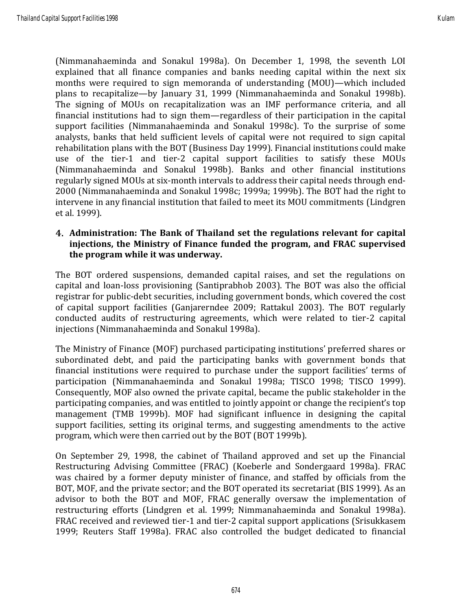(Nimmanahaeminda and Sonakul 1998a). On December 1, 1998, the seventh LOI explained that all finance companies and banks needing capital within the next six months were required to sign memoranda of understanding (MOU)—which included plans to recapitalize—by January 31, 1999 (Nimmanahaeminda and Sonakul 1998b). The signing of MOUs on recapitalization was an IMF performance criteria, and all financial institutions had to sign them—regardless of their participation in the capital support facilities (Nimmanahaeminda and Sonakul 1998c). To the surprise of some analysts, banks that held sufficient levels of capital were not required to sign capital rehabilitation plans with the BOT (Business Day 1999). Financial institutions could make use of the tier-1 and tier-2 capital support facilities to satisfy these MOUs (Nimmanahaeminda and Sonakul 1998b). Banks and other financial institutions regularly signed MOUs at six-month intervals to address their capital needs through end-2000 (Nimmanahaeminda and Sonakul 1998c; 1999a; 1999b). The BOT had the right to intervene in any financial institution that failed to meet its MOU commitments (Lindgren et al. 1999).

#### **Administration: The Bank of Thailand set the regulations relevant for capital injections, the Ministry of Finance funded the program, and FRAC supervised the program while it was underway.**

The BOT ordered suspensions, demanded capital raises, and set the regulations on capital and loan-loss provisioning (Santiprabhob 2003). The BOT was also the official registrar for public-debt securities, including government bonds, which covered the cost of capital support facilities (Ganjarerndee 2009; Rattakul 2003). The BOT regularly conducted audits of restructuring agreements, which were related to tier-2 capital injections (Nimmanahaeminda and Sonakul 1998a).

The Ministry of Finance (MOF) purchased participating institutions' preferred shares or subordinated debt, and paid the participating banks with government bonds that financial institutions were required to purchase under the support facilities' terms of participation (Nimmanahaeminda and Sonakul 1998a; TISCO 1998; TISCO 1999). Consequently, MOF also owned the private capital, became the public stakeholder in the participating companies, and was entitled to jointly appoint or change the recipient's top management (TMB 1999b). MOF had significant influence in designing the capital support facilities, setting its original terms, and suggesting amendments to the active program, which were then carried out by the BOT (BOT 1999b).

On September 29, 1998, the cabinet of Thailand approved and set up the Financial Restructuring Advising Committee (FRAC) (Koeberle and Sondergaard 1998a). FRAC was chaired by a former deputy minister of finance, and staffed by officials from the BOT, MOF, and the private sector; and the BOT operated its secretariat (BIS 1999). As an advisor to both the BOT and MOF, FRAC generally oversaw the implementation of restructuring efforts (Lindgren et al. 1999; Nimmanahaeminda and Sonakul 1998a). FRAC received and reviewed tier-1 and tier-2 capital support applications (Srisukkasem 1999; Reuters Staff 1998a). FRAC also controlled the budget dedicated to financial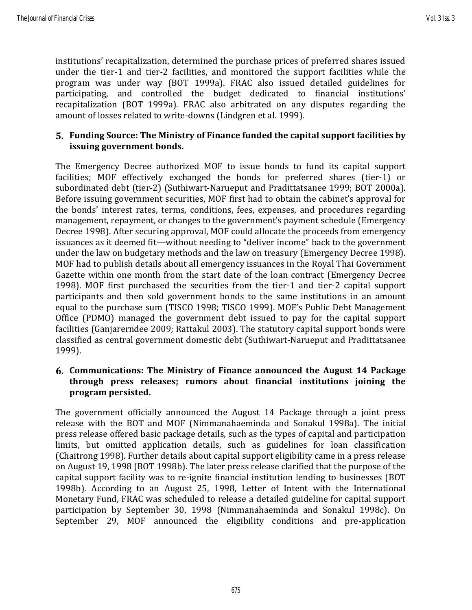institutions' recapitalization, determined the purchase prices of preferred shares issued under the tier-1 and tier-2 facilities, and monitored the support facilities while the program was under way (BOT 1999a). FRAC also issued detailed guidelines for participating, and controlled the budget dedicated to financial institutions' recapitalization (BOT 1999a). FRAC also arbitrated on any disputes regarding the amount of losses related to write-downs (Lindgren et al. 1999).

#### **Funding Source: The Ministry of Finance funded the capital support facilities by issuing government bonds.**

The Emergency Decree authorized MOF to issue bonds to fund its capital support facilities; MOF effectively exchanged the bonds for preferred shares (tier-1) or subordinated debt (tier-2) (Suthiwart-Narueput and Pradittatsanee 1999; BOT 2000a). Before issuing government securities, MOF first had to obtain the cabinet's approval for the bonds' interest rates, terms, conditions, fees, expenses, and procedures regarding management, repayment, or changes to the government's payment schedule (Emergency Decree 1998). After securing approval, MOF could allocate the proceeds from emergency issuances as it deemed fit—without needing to "deliver income" back to the government under the law on budgetary methods and the law on treasury (Emergency Decree 1998). MOF had to publish details about all emergency issuances in the Royal Thai Government Gazette within one month from the start date of the loan contract (Emergency Decree 1998). MOF first purchased the securities from the tier-1 and tier-2 capital support participants and then sold government bonds to the same institutions in an amount equal to the purchase sum (TISCO 1998; TISCO 1999). MOF's Public Debt Management Office (PDMO) managed the government debt issued to pay for the capital support facilities (Ganjarerndee 2009; Rattakul 2003). The statutory capital support bonds were classified as central government domestic debt (Suthiwart-Narueput and Pradittatsanee 1999).

#### **Communications: The Ministry of Finance announced the August 14 Package through press releases; rumors about financial institutions joining the program persisted.**

The government officially announced the August 14 Package through a joint press release with the BOT and MOF (Nimmanahaeminda and Sonakul 1998a). The initial press release offered basic package details, such as the types of capital and participation limits, but omitted application details, such as guidelines for loan classification (Chaitrong 1998). Further details about capital support eligibility came in a press release on August 19, 1998 (BOT 1998b). The later press release clarified that the purpose of the capital support facility was to re-ignite financial institution lending to businesses (BOT 1998b). According to an August 25, 1998, Letter of Intent with the International Monetary Fund, FRAC was scheduled to release a detailed guideline for capital support participation by September 30, 1998 (Nimmanahaeminda and Sonakul 1998c). On September 29, MOF announced the eligibility conditions and pre-application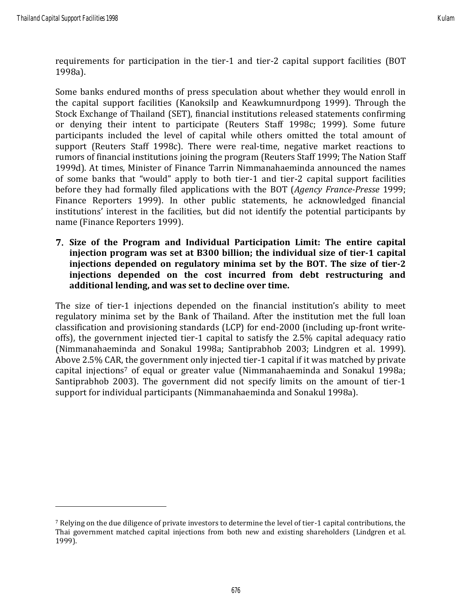requirements for participation in the tier-1 and tier-2 capital support facilities (BOT 1998a).

Some banks endured months of press speculation about whether they would enroll in the capital support facilities (Kanoksilp and Keawkumnurdpong 1999). Through the Stock Exchange of Thailand (SET), financial institutions released statements confirming or denying their intent to participate (Reuters Staff 1998c; 1999). Some future participants included the level of capital while others omitted the total amount of support (Reuters Staff 1998c). There were real-time, negative market reactions to rumors of financial institutions joining the program (Reuters Staff 1999; The Nation Staff 1999d). At times, Minister of Finance Tarrin Nimmanahaeminda announced the names of some banks that "would" apply to both tier-1 and tier-2 capital support facilities before they had formally filed applications with the BOT (*Agency France-Presse* 1999; Finance Reporters 1999). In other public statements, he acknowledged financial institutions' interest in the facilities, but did not identify the potential participants by name (Finance Reporters 1999).

**Size of the Program and Individual Participation Limit: The entire capital injection program was set at B300 billion; the individual size of tier-1 capital injections depended on regulatory minima set by the BOT. The size of tier-2 injections depended on the cost incurred from debt restructuring and additional lending, and was set to decline over time.** 

The size of tier-1 injections depended on the financial institution's ability to meet regulatory minima set by the Bank of Thailand. After the institution met the full loan classification and provisioning standards (LCP) for end-2000 (including up-front writeoffs), the government injected tier-1 capital to satisfy the 2.5% capital adequacy ratio (Nimmanahaeminda and Sonakul 1998a; Santiprabhob 2003; Lindgren et al. 1999). Above 2.5% CAR, the government only injected tier-1 capital if it was matched by private capital injections<sup>7</sup> of equal or greater value (Nimmanahaeminda and Sonakul 1998a; Santiprabhob 2003). The government did not specify limits on the amount of tier-1 support for individual participants (Nimmanahaeminda and Sonakul 1998a).

<sup>7</sup> Relying on the due diligence of private investors to determine the level of tier-1 capital contributions, the Thai government matched capital injections from both new and existing shareholders (Lindgren et al. 1999).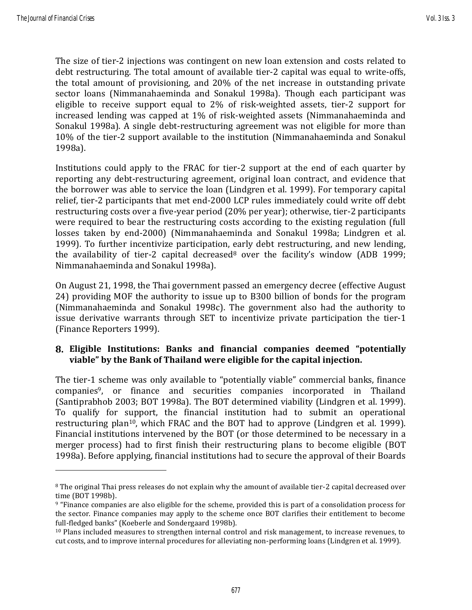The size of tier-2 injections was contingent on new loan extension and costs related to debt restructuring. The total amount of available tier-2 capital was equal to write-offs, the total amount of provisioning, and 20% of the net increase in outstanding private sector loans (Nimmanahaeminda and Sonakul 1998a). Though each participant was eligible to receive support equal to 2% of risk-weighted assets, tier-2 support for increased lending was capped at 1% of risk-weighted assets (Nimmanahaeminda and Sonakul 1998a). A single debt-restructuring agreement was not eligible for more than 10% of the tier-2 support available to the institution (Nimmanahaeminda and Sonakul 1998a).

Institutions could apply to the FRAC for tier-2 support at the end of each quarter by reporting any debt-restructuring agreement, original loan contract, and evidence that the borrower was able to service the loan (Lindgren et al. 1999). For temporary capital relief, tier-2 participants that met end-2000 LCP rules immediately could write off debt restructuring costs over a five-year period (20% per year); otherwise, tier-2 participants were required to bear the restructuring costs according to the existing regulation (full losses taken by end-2000) (Nimmanahaeminda and Sonakul 1998a; Lindgren et al. 1999). To further incentivize participation, early debt restructuring, and new lending, the availability of tier-2 capital decreased<sup>8</sup> over the facility's window (ADB 1999; Nimmanahaeminda and Sonakul 1998a).

On August 21, 1998, the Thai government passed an emergency decree (effective August 24) providing MOF the authority to issue up to B300 billion of bonds for the program (Nimmanahaeminda and Sonakul 1998c). The government also had the authority to issue derivative warrants through SET to incentivize private participation the tier-1 (Finance Reporters 1999).

#### **Eligible Institutions: Banks and financial companies deemed "potentially viable" by the Bank of Thailand were eligible for the capital injection.**

The tier-1 scheme was only available to "potentially viable" commercial banks, finance companies9, or finance and securities companies incorporated in Thailand (Santiprabhob 2003; BOT 1998a). The BOT determined viability (Lindgren et al. 1999). To qualify for support, the financial institution had to submit an operational restructuring plan<sup>10</sup>, which FRAC and the BOT had to approve (Lindgren et al. 1999). Financial institutions intervened by the BOT (or those determined to be necessary in a merger process) had to first finish their restructuring plans to become eligible (BOT 1998a). Before applying, financial institutions had to secure the approval of their Boards

<sup>&</sup>lt;sup>8</sup> The original Thai press releases do not explain why the amount of available tier-2 capital decreased over time (BOT 1998b).

<sup>9</sup> "Finance companies are also eligible for the scheme, provided this is part of a consolidation process for the sector. Finance companies may apply to the scheme once BOT clarifies their entitlement to become full-fledged banks" (Koeberle and Sondergaard 1998b).

<sup>10</sup> Plans included measures to strengthen internal control and risk management, to increase revenues, to cut costs, and to improve internal procedures for alleviating non-performing loans (Lindgren et al. 1999).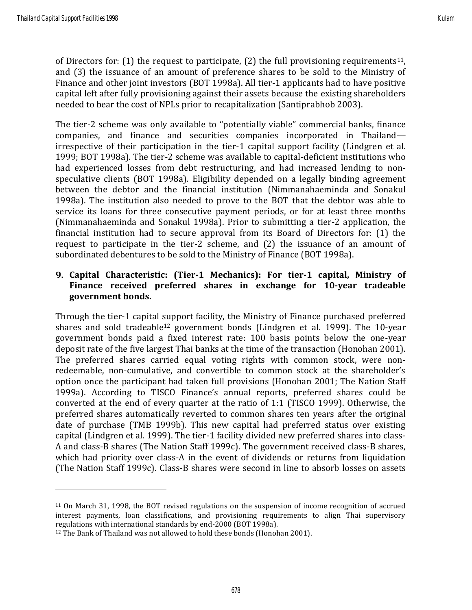of Directors for: (1) the request to participate, (2) the full provisioning requirements<sup>11</sup>, and (3) the issuance of an amount of preference shares to be sold to the Ministry of Finance and other joint investors (BOT 1998a). All tier-1 applicants had to have positive capital left after fully provisioning against their assets because the existing shareholders needed to bear the cost of NPLs prior to recapitalization (Santiprabhob 2003).

The tier-2 scheme was only available to "potentially viable" commercial banks, finance companies, and finance and securities companies incorporated in Thailand irrespective of their participation in the tier-1 capital support facility (Lindgren et al. 1999; BOT 1998a). The tier-2 scheme was available to capital-deficient institutions who had experienced losses from debt restructuring, and had increased lending to nonspeculative clients (BOT 1998a). Eligibility depended on a legally binding agreement between the debtor and the financial institution (Nimmanahaeminda and Sonakul 1998a). The institution also needed to prove to the BOT that the debtor was able to service its loans for three consecutive payment periods, or for at least three months (Nimmanahaeminda and Sonakul 1998a). Prior to submitting a tier-2 application, the financial institution had to secure approval from its Board of Directors for: (1) the request to participate in the tier-2 scheme, and (2) the issuance of an amount of subordinated debentures to be sold to the Ministry of Finance (BOT 1998a).

#### **Capital Characteristic: (Tier-1 Mechanics): For tier-1 capital, Ministry of Finance received preferred shares in exchange for 10-year tradeable government bonds.**

Through the tier-1 capital support facility, the Ministry of Finance purchased preferred shares and sold tradeable<sup>12</sup> government bonds (Lindgren et al. 1999). The 10-year government bonds paid a fixed interest rate: 100 basis points below the one-year deposit rate of the five largest Thai banks at the time of the transaction (Honohan 2001). The preferred shares carried equal voting rights with common stock, were nonredeemable, non-cumulative, and convertible to common stock at the shareholder's option once the participant had taken full provisions (Honohan 2001; The Nation Staff 1999a). According to TISCO Finance's annual reports, preferred shares could be converted at the end of every quarter at the ratio of 1:1 (TISCO 1999). Otherwise, the preferred shares automatically reverted to common shares ten years after the original date of purchase (TMB 1999b). This new capital had preferred status over existing capital (Lindgren et al. 1999). The tier-1 facility divided new preferred shares into class-A and class-B shares (The Nation Staff 1999c). The government received class-B shares, which had priority over class-A in the event of dividends or returns from liquidation (The Nation Staff 1999c). Class-B shares were second in line to absorb losses on assets

<sup>11</sup> On March 31, 1998, the BOT revised regulations on the suspension of income recognition of accrued interest payments, loan classifications, and provisioning requirements to align Thai supervisory regulations with international standards by end-2000 (BOT 1998a).

<sup>&</sup>lt;sup>12</sup> The Bank of Thailand was not allowed to hold these bonds (Honohan 2001).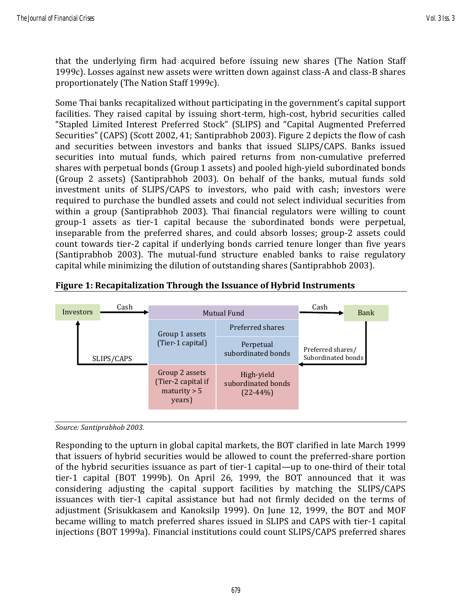that the underlying firm had acquired before issuing new shares (The Nation Staff 1999c). Losses against new assets were written down against class-A and class-B shares proportionately (The Nation Staff 1999c).

Some Thai banks recapitalized without participating in the government's capital support facilities. They raised capital by issuing short-term, high-cost, hybrid securities called "Stapled Limited Interest Preferred Stock" (SLIPS) and "Capital Augmented Preferred Securities" (CAPS) (Scott 2002, 41; Santiprabhob 2003). Figure 2 depicts the flow of cash and securities between investors and banks that issued SLIPS/CAPS. Banks issued securities into mutual funds, which paired returns from non-cumulative preferred shares with perpetual bonds (Group 1 assets) and pooled high-yield subordinated bonds (Group 2 assets) (Santiprabhob 2003). On behalf of the banks, mutual funds sold investment units of SLIPS/CAPS to investors, who paid with cash; investors were required to purchase the bundled assets and could not select individual securities from within a group (Santiprabhob 2003). Thai financial regulators were willing to count group-1 assets as tier-1 capital because the subordinated bonds were perpetual, inseparable from the preferred shares, and could absorb losses; group-2 assets could count towards tier-2 capital if underlying bonds carried tenure longer than five years (Santiprabhob 2003). The mutual-fund structure enabled banks to raise regulatory capital while minimizing the dilution of outstanding shares (Santiprabhob 2003).



#### **Figure 1: Recapitalization Through the Issuance of Hybrid Instruments**

*Source: Santiprabhob 2003.*

Responding to the upturn in global capital markets, the BOT clarified in late March 1999 that issuers of hybrid securities would be allowed to count the preferred-share portion of the hybrid securities issuance as part of tier-1 capital—up to one-third of their total tier-1 capital (BOT 1999b). On April 26, 1999, the BOT announced that it was considering adjusting the capital support facilities by matching the SLIPS/CAPS issuances with tier-1 capital assistance but had not firmly decided on the terms of adjustment (Srisukkasem and Kanoksilp 1999). On June 12, 1999, the BOT and MOF became willing to match preferred shares issued in SLIPS and CAPS with tier-1 capital injections (BOT 1999a). Financial institutions could count SLIPS/CAPS preferred shares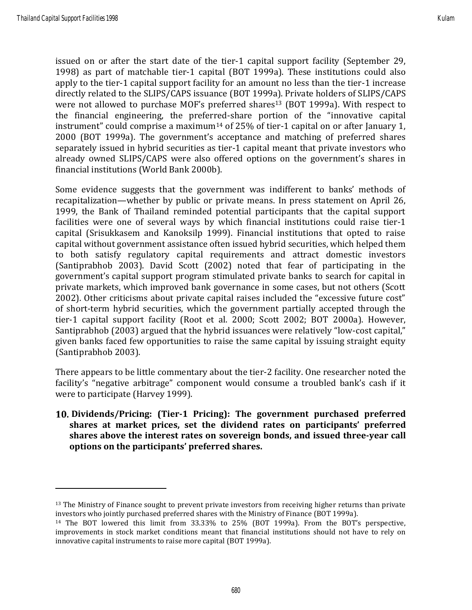issued on or after the start date of the tier-1 capital support facility (September 29, 1998) as part of matchable tier-1 capital (BOT 1999a). These institutions could also apply to the tier-1 capital support facility for an amount no less than the tier-1 increase directly related to the SLIPS/CAPS issuance (BOT 1999a). Private holders of SLIPS/CAPS were not allowed to purchase MOF's preferred shares<sup>13</sup> (BOT 1999a). With respect to the financial engineering, the preferred-share portion of the "innovative capital instrument" could comprise a maximum<sup>14</sup> of 25% of tier-1 capital on or after January 1, 2000 (BOT 1999a). The government's acceptance and matching of preferred shares separately issued in hybrid securities as tier-1 capital meant that private investors who already owned SLIPS/CAPS were also offered options on the government's shares in financial institutions (World Bank 2000b).

Some evidence suggests that the government was indifferent to banks' methods of recapitalization—whether by public or private means. In press statement on April 26, 1999, the Bank of Thailand reminded potential participants that the capital support facilities were one of several ways by which financial institutions could raise tier-1 capital (Srisukkasem and Kanoksilp 1999). Financial institutions that opted to raise capital without government assistance often issued hybrid securities, which helped them to both satisfy regulatory capital requirements and attract domestic investors (Santiprabhob 2003). David Scott (2002) noted that fear of participating in the government's capital support program stimulated private banks to search for capital in private markets, which improved bank governance in some cases, but not others (Scott 2002). Other criticisms about private capital raises included the "excessive future cost" of short-term hybrid securities, which the government partially accepted through the tier-1 capital support facility (Root et al. 2000; Scott 2002; BOT 2000a). However, Santiprabhob (2003) argued that the hybrid issuances were relatively "low-cost capital," given banks faced few opportunities to raise the same capital by issuing straight equity (Santiprabhob 2003).

There appears to be little commentary about the tier-2 facility. One researcher noted the facility's "negative arbitrage" component would consume a troubled bank's cash if it were to participate (Harvey 1999).

**Dividends/Pricing: (Tier-1 Pricing): The government purchased preferred shares at market prices, set the dividend rates on participants' preferred shares above the interest rates on sovereign bonds, and issued three-year call options on the participants' preferred shares.**

<sup>&</sup>lt;sup>13</sup> The Ministry of Finance sought to prevent private investors from receiving higher returns than private investors who jointly purchased preferred shares with the Ministry of Finance (BOT 1999a).

<sup>14</sup> The BOT lowered this limit from 33.33% to 25% (BOT 1999a). From the BOT's perspective, improvements in stock market conditions meant that financial institutions should not have to rely on innovative capital instruments to raise more capital (BOT 1999a).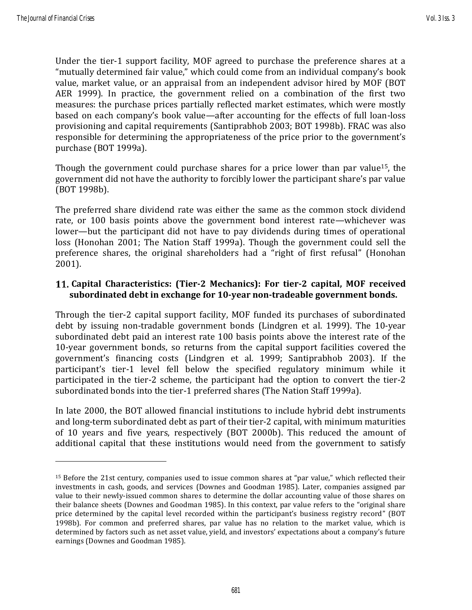Under the tier-1 support facility, MOF agreed to purchase the preference shares at a "mutually determined fair value," which could come from an individual company's book value, market value, or an appraisal from an independent advisor hired by MOF (BOT AER 1999). In practice, the government relied on a combination of the first two measures: the purchase prices partially reflected market estimates, which were mostly based on each company's book value—after accounting for the effects of full loan-loss provisioning and capital requirements (Santiprabhob 2003; BOT 1998b). FRAC was also responsible for determining the appropriateness of the price prior to the government's purchase (BOT 1999a).

Though the government could purchase shares for a price lower than par value15, the government did not have the authority to forcibly lower the participant share's par value (BOT 1998b).

The preferred share dividend rate was either the same as the common stock dividend rate, or 100 basis points above the government bond interest rate—whichever was lower—but the participant did not have to pay dividends during times of operational loss (Honohan 2001; The Nation Staff 1999a). Though the government could sell the preference shares, the original shareholders had a "right of first refusal" (Honohan 2001).

#### **Capital Characteristics: (Tier-2 Mechanics): For tier-2 capital, MOF received subordinated debt in exchange for 10-year non-tradeable government bonds.**

Through the tier-2 capital support facility, MOF funded its purchases of subordinated debt by issuing non-tradable government bonds (Lindgren et al. 1999). The 10-year subordinated debt paid an interest rate 100 basis points above the interest rate of the 10-year government bonds, so returns from the capital support facilities covered the government's financing costs (Lindgren et al. 1999; Santiprabhob 2003). If the participant's tier-1 level fell below the specified regulatory minimum while it participated in the tier-2 scheme, the participant had the option to convert the tier-2 subordinated bonds into the tier-1 preferred shares (The Nation Staff 1999a).

In late 2000, the BOT allowed financial institutions to include hybrid debt instruments and long-term subordinated debt as part of their tier-2 capital, with minimum maturities of 10 years and five years, respectively (BOT 2000b). This reduced the amount of additional capital that these institutions would need from the government to satisfy

<sup>15</sup> Before the 21st century, companies used to issue common shares at "par value," which reflected their investments in cash, goods, and services (Downes and Goodman 1985). Later, companies assigned par value to their newly-issued common shares to determine the dollar accounting value of those shares on their balance sheets (Downes and Goodman 1985). In this context, par value refers to the "original share price determined by the capital level recorded within the participant's business registry record" (BOT 1998b). For common and preferred shares, par value has no relation to the market value, which is determined by factors such as net asset value, yield, and investors' expectations about a company's future earnings (Downes and Goodman 1985).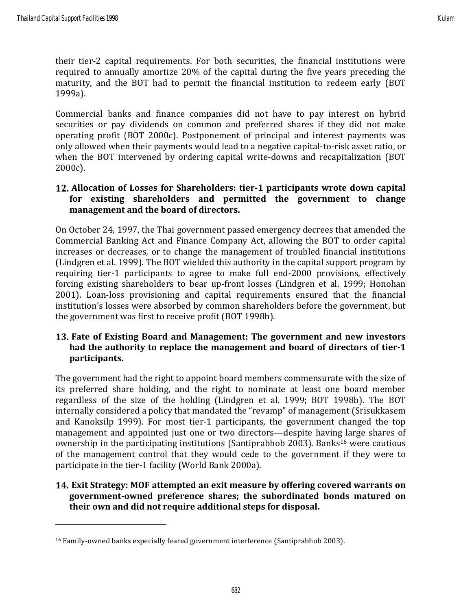their tier-2 capital requirements. For both securities, the financial institutions were required to annually amortize 20% of the capital during the five years preceding the maturity, and the BOT had to permit the financial institution to redeem early (BOT 1999a).

Commercial banks and finance companies did not have to pay interest on hybrid securities or pay dividends on common and preferred shares if they did not make operating profit (BOT 2000c). Postponement of principal and interest payments was only allowed when their payments would lead to a negative capital-to-risk asset ratio, or when the BOT intervened by ordering capital write-downs and recapitalization (BOT 2000c).

#### **Allocation of Losses for Shareholders: tier-1 participants wrote down capital for existing shareholders and permitted the government to change management and the board of directors.**

On October 24, 1997, the Thai government passed emergency decrees that amended the Commercial Banking Act and Finance Company Act, allowing the BOT to order capital increases or decreases, or to change the management of troubled financial institutions (Lindgren et al. 1999). The BOT wielded this authority in the capital support program by requiring tier-1 participants to agree to make full end-2000 provisions, effectively forcing existing shareholders to bear up-front losses (Lindgren et al. 1999; Honohan 2001). Loan-loss provisioning and capital requirements ensured that the financial institution's losses were absorbed by common shareholders before the government, but the government was first to receive profit (BOT 1998b).

#### **Fate of Existing Board and Management: The government and new investors had the authority to replace the management and board of directors of tier-1 participants.**

The government had the right to appoint board members commensurate with the size of its preferred share holding, and the right to nominate at least one board member regardless of the size of the holding (Lindgren et al. 1999; BOT 1998b). The BOT internally considered a policy that mandated the "revamp" of management (Srisukkasem and Kanoksilp 1999). For most tier-1 participants, the government changed the top management and appointed just one or two directors—despite having large shares of ownership in the participating institutions (Santiprabhob 2003). Banks<sup>16</sup> were cautious of the management control that they would cede to the government if they were to participate in the tier-1 facility (World Bank 2000a).

#### **Exit Strategy: MOF attempted an exit measure by offering covered warrants on government-owned preference shares; the subordinated bonds matured on their own and did not require additional steps for disposal.**

<sup>16</sup> Family-owned banks especially feared government interference (Santiprabhob 2003).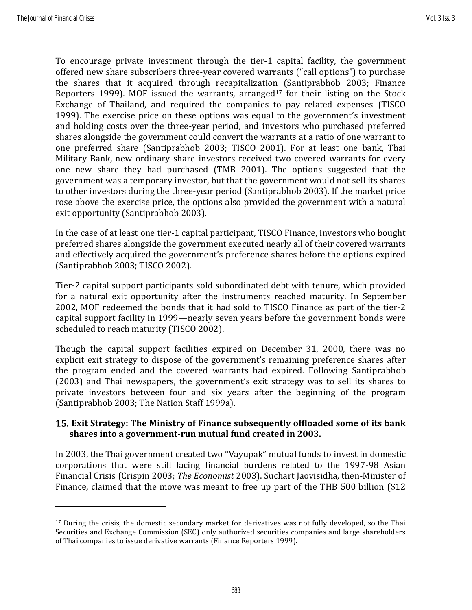To encourage private investment through the tier-1 capital facility, the government offered new share subscribers three-year covered warrants ("call options") to purchase the shares that it acquired through recapitalization (Santiprabhob 2003; Finance Reporters 1999). MOF issued the warrants, arranged<sup>17</sup> for their listing on the Stock Exchange of Thailand, and required the companies to pay related expenses (TISCO 1999). The exercise price on these options was equal to the government's investment and holding costs over the three-year period, and investors who purchased preferred shares alongside the government could convert the warrants at a ratio of one warrant to one preferred share (Santiprabhob 2003; TISCO 2001). For at least one bank, Thai Military Bank, new ordinary-share investors received two covered warrants for every one new share they had purchased (TMB 2001). The options suggested that the government was a temporary investor, but that the government would not sell its shares to other investors during the three-year period (Santiprabhob 2003). If the market price rose above the exercise price, the options also provided the government with a natural exit opportunity (Santiprabhob 2003).

In the case of at least one tier-1 capital participant, TISCO Finance, investors who bought preferred shares alongside the government executed nearly all of their covered warrants and effectively acquired the government's preference shares before the options expired (Santiprabhob 2003; TISCO 2002).

Tier-2 capital support participants sold subordinated debt with tenure, which provided for a natural exit opportunity after the instruments reached maturity. In September 2002, MOF redeemed the bonds that it had sold to TISCO Finance as part of the tier-2 capital support facility in 1999—nearly seven years before the government bonds were scheduled to reach maturity (TISCO 2002).

Though the capital support facilities expired on December 31, 2000, there was no explicit exit strategy to dispose of the government's remaining preference shares after the program ended and the covered warrants had expired. Following Santiprabhob (2003) and Thai newspapers, the government's exit strategy was to sell its shares to private investors between four and six years after the beginning of the program (Santiprabhob 2003; The Nation Staff 1999a).

#### **Exit Strategy: The Ministry of Finance subsequently offloaded some of its bank shares into a government-run mutual fund created in 2003.**

In 2003, the Thai government created two "Vayupak" mutual funds to invest in domestic corporations that were still facing financial burdens related to the 1997-98 Asian Financial Crisis (Crispin 2003; *The Economist* 2003). Suchart Jaovisidha, then-Minister of Finance, claimed that the move was meant to free up part of the THB 500 billion (\$12

<sup>&</sup>lt;sup>17</sup> During the crisis, the domestic secondary market for derivatives was not fully developed, so the Thai Securities and Exchange Commission (SEC) only authorized securities companies and large shareholders of Thai companies to issue derivative warrants (Finance Reporters 1999).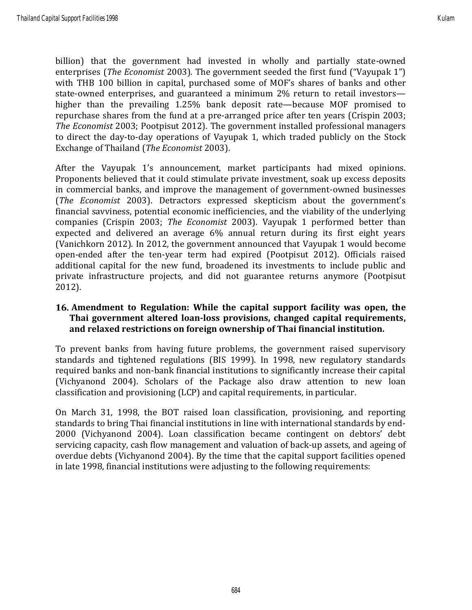billion) that the government had invested in wholly and partially state-owned enterprises (*The Economist* 2003). The government seeded the first fund ("Vayupak 1") with THB 100 billion in capital, purchased some of MOF's shares of banks and other state-owned enterprises, and guaranteed a minimum 2% return to retail investors higher than the prevailing 1.25% bank deposit rate—because MOF promised to repurchase shares from the fund at a pre-arranged price after ten years (Crispin 2003; *The Economist* 2003; Pootpisut 2012). The government installed professional managers to direct the day-to-day operations of Vayupak 1, which traded publicly on the Stock Exchange of Thailand (*The Economist* 2003).

After the Vayupak 1's announcement, market participants had mixed opinions. Proponents believed that it could stimulate private investment, soak up excess deposits in commercial banks, and improve the management of government-owned businesses (*The Economist* 2003). Detractors expressed skepticism about the government's financial savviness, potential economic inefficiencies, and the viability of the underlying companies (Crispin 2003; *The Economist* 2003). Vayupak 1 performed better than expected and delivered an average 6% annual return during its first eight years (Vanichkorn 2012). In 2012, the government announced that Vayupak 1 would become open-ended after the ten-year term had expired (Pootpisut 2012). Officials raised additional capital for the new fund, broadened its investments to include public and private infrastructure projects, and did not guarantee returns anymore (Pootpisut 2012).

#### **Amendment to Regulation: While the capital support facility was open, the Thai government altered loan-loss provisions, changed capital requirements, and relaxed restrictions on foreign ownership of Thai financial institution.**

To prevent banks from having future problems, the government raised supervisory standards and tightened regulations (BIS 1999). In 1998, new regulatory standards required banks and non-bank financial institutions to significantly increase their capital (Vichyanond 2004). Scholars of the Package also draw attention to new loan classification and provisioning (LCP) and capital requirements, in particular.

On March 31, 1998, the BOT raised loan classification, provisioning, and reporting standards to bring Thai financial institutions in line with international standards by end-2000 (Vichyanond 2004). Loan classification became contingent on debtors' debt servicing capacity, cash flow management and valuation of back-up assets, and ageing of overdue debts (Vichyanond 2004). By the time that the capital support facilities opened in late 1998, financial institutions were adjusting to the following requirements: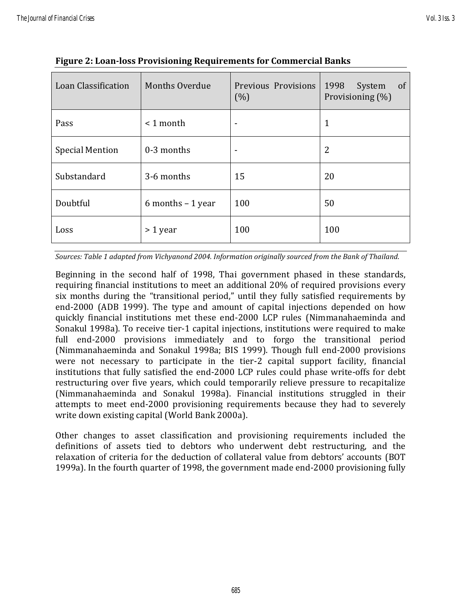| Loan Classification    | <b>Months Overdue</b> | Previous Provisions<br>(%) | of<br>1998<br>System<br>Provisioning (%) |
|------------------------|-----------------------|----------------------------|------------------------------------------|
| Pass                   | $< 1$ month           | $\overline{\phantom{0}}$   | 1                                        |
| <b>Special Mention</b> | 0-3 months            | ۰                          | 2                                        |
| Substandard            | 3-6 months            | 15                         | 20                                       |
| Doubtful               | $6$ months $-1$ year  | 100                        | 50                                       |
| Loss                   | $> 1$ year            | 100                        | 100                                      |

|  | <b>Figure 2: Loan-loss Provisioning Requirements for Commercial Banks</b> |
|--|---------------------------------------------------------------------------|
|  |                                                                           |
|  |                                                                           |

*Sources: Table 1 adapted from Vichyanond 2004. Information originally sourced from the Bank of Thailand.*

Beginning in the second half of 1998, Thai government phased in these standards, requiring financial institutions to meet an additional 20% of required provisions every six months during the "transitional period," until they fully satisfied requirements by end-2000 (ADB 1999). The type and amount of capital injections depended on how quickly financial institutions met these end-2000 LCP rules (Nimmanahaeminda and Sonakul 1998a). To receive tier-1 capital injections, institutions were required to make full end-2000 provisions immediately and to forgo the transitional period (Nimmanahaeminda and Sonakul 1998a; BIS 1999). Though full end-2000 provisions were not necessary to participate in the tier-2 capital support facility, financial institutions that fully satisfied the end-2000 LCP rules could phase write-offs for debt restructuring over five years, which could temporarily relieve pressure to recapitalize (Nimmanahaeminda and Sonakul 1998a). Financial institutions struggled in their attempts to meet end-2000 provisioning requirements because they had to severely write down existing capital (World Bank 2000a).

Other changes to asset classification and provisioning requirements included the definitions of assets tied to debtors who underwent debt restructuring, and the relaxation of criteria for the deduction of collateral value from debtors' accounts (BOT 1999a). In the fourth quarter of 1998, the government made end-2000 provisioning fully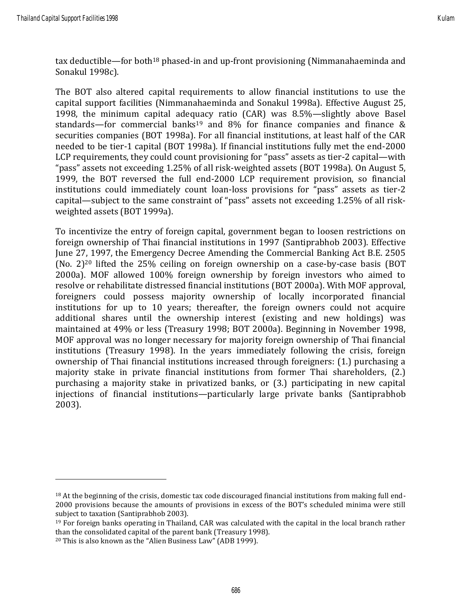tax deductible—for both<sup>18</sup> phased-in and up-front provisioning (Nimmanahaeminda and Sonakul 1998c).

The BOT also altered capital requirements to allow financial institutions to use the capital support facilities (Nimmanahaeminda and Sonakul 1998a). Effective August 25, 1998, the minimum capital adequacy ratio (CAR) was 8.5%—slightly above Basel standards—for commercial banks<sup>19</sup> and 8% for finance companies and finance & securities companies (BOT 1998a). For all financial institutions, at least half of the CAR needed to be tier-1 capital (BOT 1998a). If financial institutions fully met the end-2000 LCP requirements, they could count provisioning for "pass" assets as tier-2 capital—with "pass" assets not exceeding 1.25% of all risk-weighted assets (BOT 1998a). On August 5, 1999, the BOT reversed the full end-2000 LCP requirement provision, so financial institutions could immediately count loan-loss provisions for "pass" assets as tier-2 capital—subject to the same constraint of "pass" assets not exceeding 1.25% of all riskweighted assets (BOT 1999a).

To incentivize the entry of foreign capital, government began to loosen restrictions on foreign ownership of Thai financial institutions in 1997 (Santiprabhob 2003). Effective June 27, 1997, the Emergency Decree Amending the Commercial Banking Act B.E. 2505 (No. 2)<sup>20</sup> lifted the 25% ceiling on foreign ownership on a case-by-case basis (BOT 2000a). MOF allowed 100% foreign ownership by foreign investors who aimed to resolve or rehabilitate distressed financial institutions (BOT 2000a). With MOF approval, foreigners could possess majority ownership of locally incorporated financial institutions for up to 10 years; thereafter, the foreign owners could not acquire additional shares until the ownership interest (existing and new holdings) was maintained at 49% or less (Treasury 1998; BOT 2000a). Beginning in November 1998, MOF approval was no longer necessary for majority foreign ownership of Thai financial institutions (Treasury 1998). In the years immediately following the crisis, foreign ownership of Thai financial institutions increased through foreigners: (1.) purchasing a majority stake in private financial institutions from former Thai shareholders, (2.) purchasing a majority stake in privatized banks, or (3.) participating in new capital injections of financial institutions—particularly large private banks (Santiprabhob 2003).

<sup>18</sup> At the beginning of the crisis, domestic tax code discouraged financial institutions from making full end-2000 provisions because the amounts of provisions in excess of the BOT's scheduled minima were still subject to taxation (Santiprabhob 2003).

<sup>19</sup> For foreign banks operating in Thailand, CAR was calculated with the capital in the local branch rather than the consolidated capital of the parent bank (Treasury 1998).

<sup>20</sup> This is also known as the "Alien Business Law" (ADB 1999).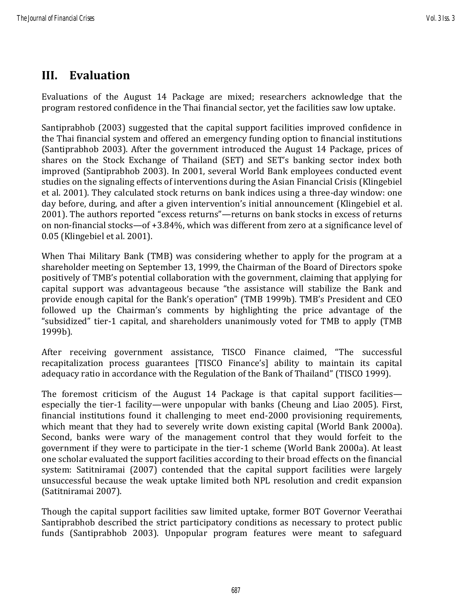### **III. Evaluation**

Evaluations of the August 14 Package are mixed; researchers acknowledge that the program restored confidence in the Thai financial sector, yet the facilities saw low uptake.

Santiprabhob (2003) suggested that the capital support facilities improved confidence in the Thai financial system and offered an emergency funding option to financial institutions (Santiprabhob 2003). After the government introduced the August 14 Package, prices of shares on the Stock Exchange of Thailand (SET) and SET's banking sector index both improved (Santiprabhob 2003). In 2001, several World Bank employees conducted event studies on the signaling effects of interventions during the Asian Financial Crisis (Klingebiel et al. 2001). They calculated stock returns on bank indices using a three-day window: one day before, during, and after a given intervention's initial announcement (Klingebiel et al. 2001). The authors reported "excess returns"—returns on bank stocks in excess of returns on non-financial stocks—of +3.84%, which was different from zero at a significance level of 0.05 (Klingebiel et al. 2001).

When Thai Military Bank (TMB) was considering whether to apply for the program at a shareholder meeting on September 13, 1999, the Chairman of the Board of Directors spoke positively of TMB's potential collaboration with the government, claiming that applying for capital support was advantageous because "the assistance will stabilize the Bank and provide enough capital for the Bank's operation" (TMB 1999b). TMB's President and CEO followed up the Chairman's comments by highlighting the price advantage of the "subsidized" tier-1 capital, and shareholders unanimously voted for TMB to apply (TMB 1999b).

After receiving government assistance, TISCO Finance claimed, "The successful recapitalization process guarantees [TISCO Finance's] ability to maintain its capital adequacy ratio in accordance with the Regulation of the Bank of Thailand" (TISCO 1999).

The foremost criticism of the August 14 Package is that capital support facilities especially the tier-1 facility—were unpopular with banks (Cheung and Liao 2005). First, financial institutions found it challenging to meet end-2000 provisioning requirements, which meant that they had to severely write down existing capital (World Bank 2000a). Second, banks were wary of the management control that they would forfeit to the government if they were to participate in the tier-1 scheme (World Bank 2000a). At least one scholar evaluated the support facilities according to their broad effects on the financial system: Satitniramai (2007) contended that the capital support facilities were largely unsuccessful because the weak uptake limited both NPL resolution and credit expansion (Satitniramai 2007).

Though the capital support facilities saw limited uptake, former BOT Governor Veerathai Santiprabhob described the strict participatory conditions as necessary to protect public funds (Santiprabhob 2003). Unpopular program features were meant to safeguard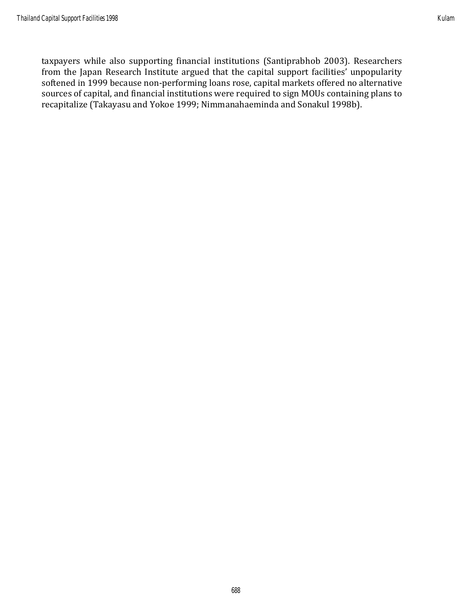taxpayers while also supporting financial institutions (Santiprabhob 2003). Researchers from the Japan Research Institute argued that the capital support facilities' unpopularity softened in 1999 because non-performing loans rose, capital markets offered no alternative sources of capital, and financial institutions were required to sign MOUs containing plans to recapitalize (Takayasu and Yokoe 1999; Nimmanahaeminda and Sonakul 1998b).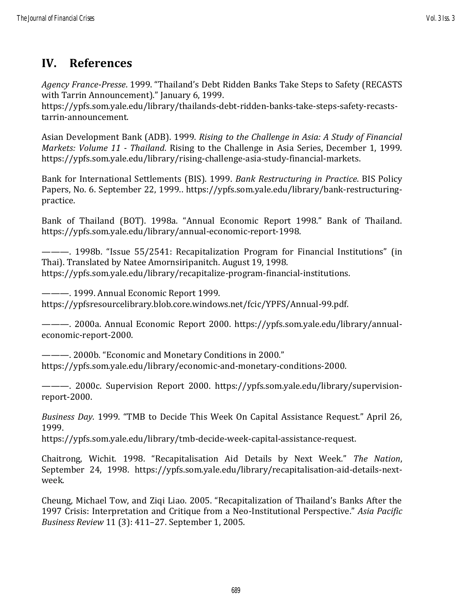### **IV. References**

*Agency France-Presse*. 1999. "Thailand's Debt Ridden Banks Take Steps to Safety (RECASTS with Tarrin Announcement)." January 6, 1999.

https://ypfs.som.yale.edu/library/thailands-debt-ridden-banks-take-steps-safety-recaststarrin-announcement.

Asian Development Bank (ADB). 1999. *Rising to the Challenge in Asia: A Study of Financial Markets: Volume 11 - Thailand*. Rising to the Challenge in Asia Series, December 1, 1999. https://ypfs.som.yale.edu/library/rising-challenge-asia-study-financial-markets.

Bank for International Settlements (BIS). 1999. *Bank Restructuring in Practice*. BIS Policy Papers, No. 6. September 22, 1999.. https://ypfs.som.yale.edu/library/bank-restructuringpractice.

Bank of Thailand (BOT). 1998a. "Annual Economic Report 1998." Bank of Thailand. https://ypfs.som.yale.edu/library/annual-economic-report-1998.

———. 1998b. "Issue 55/2541: Recapitalization Program for Financial Institutions" (in Thai). Translated by Natee Amornsiripanitch. August 19, 1998. https://ypfs.som.yale.edu/library/recapitalize-program-financial-institutions.

———. 1999. Annual Economic Report 1999. https://ypfsresourcelibrary.blob.core.windows.net/fcic/YPFS/Annual-99.pdf.

———. 2000a. Annual Economic Report 2000. https://ypfs.som.yale.edu/library/annualeconomic-report-2000.

———. 2000b. "Economic and Monetary Conditions in 2000." https://ypfs.som.yale.edu/library/economic-and-monetary-conditions-2000.

———. 2000c. Supervision Report 2000. https://ypfs.som.yale.edu/library/supervisionreport-2000.

*Business Day*. 1999. "TMB to Decide This Week On Capital Assistance Request." April 26, 1999.

https://ypfs.som.yale.edu/library/tmb-decide-week-capital-assistance-request.

Chaitrong, Wichit. 1998. "Recapitalisation Aid Details by Next Week." *The Nation*, September 24, 1998. https://ypfs.som.yale.edu/library/recapitalisation-aid-details-nextweek.

Cheung, Michael Tow, and Ziqi Liao. 2005. "Recapitalization of Thailand's Banks After the 1997 Crisis: Interpretation and Critique from a Neo-Institutional Perspective." *Asia Pacific Business Review* 11 (3): 411–27. September 1, 2005.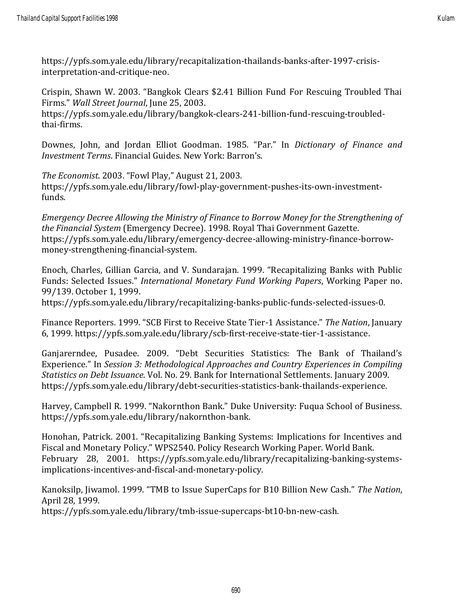Crispin, Shawn W. 2003. "Bangkok Clears \$2.41 Billion Fund For Rescuing Troubled Thai Firms." *Wall Street Journal*, June 25, 2003. https://ypfs.som.yale.edu/library/bangkok-clears-241-billion-fund-rescuing-troubledthai-firms.

Downes, John, and Jordan Elliot Goodman. 1985. "Par." In *Dictionary of Finance and Investment Terms*. Financial Guides. New York: Barron's.

*The Economist*. 2003. "Fowl Play," August 21, 2003. https://ypfs.som.yale.edu/library/fowl-play-government-pushes-its-own-investmentfunds.

*Emergency Decree Allowing the Ministry of Finance to Borrow Money for the Strengthening of the Financial System* (Emergency Decree). 1998. Royal Thai Government Gazette. https://ypfs.som.yale.edu/library/emergency-decree-allowing-ministry-finance-borrowmoney-strengthening-financial-system.

Enoch, Charles, Gillian Garcia, and V. Sundarajan. 1999. "Recapitalizing Banks with Public Funds: Selected Issues." *International Monetary Fund Working Papers*, Working Paper no. 99/139. October 1, 1999.

https://ypfs.som.yale.edu/library/recapitalizing-banks-public-funds-selected-issues-0.

Finance Reporters. 1999. "SCB First to Receive State Tier-1 Assistance." *The Nation*, January 6, 1999. https://ypfs.som.yale.edu/library/scb-first-receive-state-tier-1-assistance.

Ganjarerndee, Pusadee. 2009. "Debt Securities Statistics: The Bank of Thailand's Experience." In *Session 3: Methodological Approaches and Country Experiences in Compiling Statistics on Debt Issuance*. Vol. No. 29. Bank for International Settlements. January 2009. https://ypfs.som.yale.edu/library/debt-securities-statistics-bank-thailands-experience.

Harvey, Campbell R. 1999. "Nakornthon Bank." Duke University: Fuqua School of Business. https://ypfs.som.yale.edu/library/nakornthon-bank.

Honohan, Patrick. 2001. "Recapitalizing Banking Systems: Implications for Incentives and Fiscal and Monetary Policy." WPS2540. Policy Research Working Paper. World Bank. February 28, 2001. https://ypfs.som.yale.edu/library/recapitalizing-banking-systemsimplications-incentives-and-fiscal-and-monetary-policy.

Kanoksilp, Jiwamol. 1999. "TMB to Issue SuperCaps for B10 Billion New Cash." *The Nation*, April 28, 1999.

https://ypfs.som.yale.edu/library/tmb-issue-supercaps-bt10-bn-new-cash.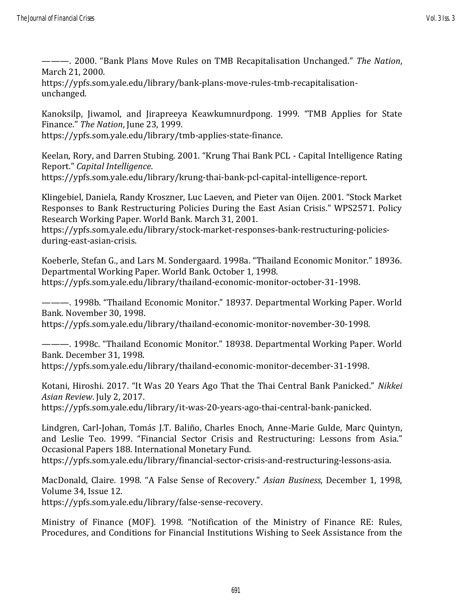———. 2000. "Bank Plans Move Rules on TMB Recapitalisation Unchanged." *The Nation*, March 21, 2000.

https://ypfs.som.yale.edu/library/bank-plans-move-rules-tmb-recapitalisationunchanged.

Kanoksilp, Jiwamol, and Jirapreeya Keawkumnurdpong. 1999. "TMB Applies for State Finance." *The Nation*, June 23, 1999.

https://ypfs.som.yale.edu/library/tmb-applies-state-finance.

Keelan, Rory, and Darren Stubing. 2001. "Krung Thai Bank PCL - Capital Intelligence Rating Report." *Capital Intelligence*.

https://ypfs.som.yale.edu/library/krung-thai-bank-pcl-capital-intelligence-report.

Klingebiel, Daniela, Randy Kroszner, Luc Laeven, and Pieter van Oijen. 2001. "Stock Market Responses to Bank Restructuring Policies During the East Asian Crisis." WPS2571. Policy Research Working Paper. World Bank. March 31, 2001.

https://ypfs.som.yale.edu/library/stock-market-responses-bank-restructuring-policiesduring-east-asian-crisis.

Koeberle, Stefan G., and Lars M. Sondergaard. 1998a. "Thailand Economic Monitor." 18936. Departmental Working Paper. World Bank. October 1, 1998. https://ypfs.som.yale.edu/library/thailand-economic-monitor-october-31-1998.

———. 1998b. "Thailand Economic Monitor." 18937. Departmental Working Paper. World Bank. November 30, 1998.

https://ypfs.som.yale.edu/library/thailand-economic-monitor-november-30-1998.

———. 1998c. "Thailand Economic Monitor." 18938. Departmental Working Paper. World Bank. December 31, 1998.

https://ypfs.som.yale.edu/library/thailand-economic-monitor-december-31-1998.

Kotani, Hiroshi. 2017. "It Was 20 Years Ago That the Thai Central Bank Panicked." *Nikkei Asian Review*. July 2, 2017.

https://ypfs.som.yale.edu/library/it-was-20-years-ago-thai-central-bank-panicked.

Lindgren, Carl-Johan, Tomás J.T. Baliño, Charles Enoch, Anne-Marie Gulde, Marc Quintyn, and Leslie Teo. 1999. "Financial Sector Crisis and Restructuring: Lessons from Asia." Occasional Papers 188. International Monetary Fund.

https://ypfs.som.yale.edu/library/financial-sector-crisis-and-restructuring-lessons-asia.

MacDonald, Claire. 1998. "A False Sense of Recovery." *Asian Business*, December 1, 1998, Volume 34, Issue 12.

https://ypfs.som.yale.edu/library/false-sense-recovery.

Ministry of Finance (MOF). 1998. "Notification of the Ministry of Finance RE: Rules, Procedures, and Conditions for Financial Institutions Wishing to Seek Assistance from the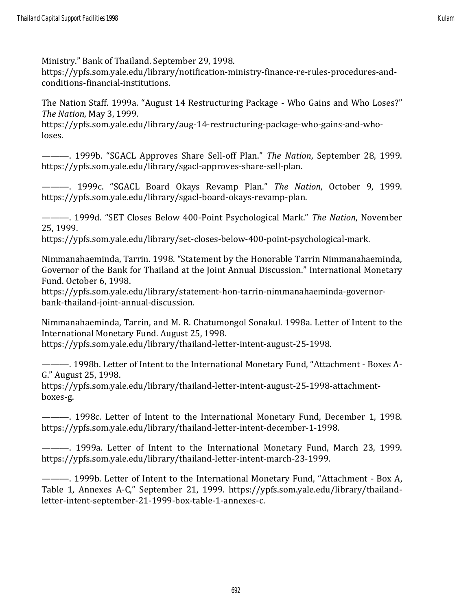Ministry." Bank of Thailand. September 29, 1998.

https://ypfs.som.yale.edu/library/notification-ministry-finance-re-rules-procedures-andconditions-financial-institutions.

The Nation Staff. 1999a. "August 14 Restructuring Package - Who Gains and Who Loses?" *The Nation*, May 3, 1999.

https://ypfs.som.yale.edu/library/aug-14-restructuring-package-who-gains-and-wholoses.

———. 1999b. "SGACL Approves Share Sell-off Plan." *The Nation*, September 28, 1999. https://ypfs.som.yale.edu/library/sgacl-approves-share-sell-plan.

———. 1999c. "SGACL Board Okays Revamp Plan." *The Nation*, October 9, 1999. https://ypfs.som.yale.edu/library/sgacl-board-okays-revamp-plan.

———. 1999d. "SET Closes Below 400-Point Psychological Mark." *The Nation*, November 25, 1999.

https://ypfs.som.yale.edu/library/set-closes-below-400-point-psychological-mark.

Nimmanahaeminda, Tarrin. 1998. "Statement by the Honorable Tarrin Nimmanahaeminda, Governor of the Bank for Thailand at the Joint Annual Discussion." International Monetary Fund. October 6, 1998.

https://ypfs.som.yale.edu/library/statement-hon-tarrin-nimmanahaeminda-governorbank-thailand-joint-annual-discussion.

Nimmanahaeminda, Tarrin, and M. R. Chatumongol Sonakul. 1998a. Letter of Intent to the International Monetary Fund. August 25, 1998.

https://ypfs.som.yale.edu/library/thailand-letter-intent-august-25-1998.

———. 1998b. Letter of Intent to the International Monetary Fund, "Attachment - Boxes A-G." August 25, 1998.

https://ypfs.som.yale.edu/library/thailand-letter-intent-august-25-1998-attachmentboxes-g.

———. 1998c. Letter of Intent to the International Monetary Fund, December 1, 1998. https://ypfs.som.yale.edu/library/thailand-letter-intent-december-1-1998.

———. 1999a. Letter of Intent to the International Monetary Fund, March 23, 1999. https://ypfs.som.yale.edu/library/thailand-letter-intent-march-23-1999.

———. 1999b. Letter of Intent to the International Monetary Fund, "Attachment - Box A, Table 1, Annexes A-C," September 21, 1999. https://ypfs.som.yale.edu/library/thailandletter-intent-september-21-1999-box-table-1-annexes-c.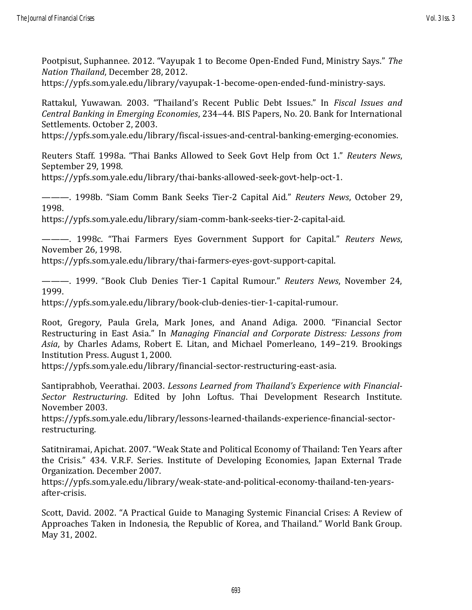Pootpisut, Suphannee. 2012. "Vayupak 1 to Become Open-Ended Fund, Ministry Says." *The Nation Thailand*, December 28, 2012.

https://ypfs.som.yale.edu/library/vayupak-1-become-open-ended-fund-ministry-says.

Rattakul, Yuwawan. 2003. "Thailand's Recent Public Debt Issues." In *Fiscal Issues and Central Banking in Emerging Economies*, 234–44. BIS Papers, No. 20. Bank for International Settlements. October 2, 2003.

https://ypfs.som.yale.edu/library/fiscal-issues-and-central-banking-emerging-economies.

Reuters Staff. 1998a. "Thai Banks Allowed to Seek Govt Help from Oct 1." *Reuters News*, September 29, 1998.

https://ypfs.som.yale.edu/library/thai-banks-allowed-seek-govt-help-oct-1.

———. 1998b. "Siam Comm Bank Seeks Tier-2 Capital Aid." *Reuters News*, October 29, 1998.

https://ypfs.som.yale.edu/library/siam-comm-bank-seeks-tier-2-capital-aid.

———. 1998c. "Thai Farmers Eyes Government Support for Capital." *Reuters News*, November 26, 1998.

https://ypfs.som.yale.edu/library/thai-farmers-eyes-govt-support-capital.

———. 1999. "Book Club Denies Tier-1 Capital Rumour." *Reuters News*, November 24, 1999.

https://ypfs.som.yale.edu/library/book-club-denies-tier-1-capital-rumour.

Root, Gregory, Paula Grela, Mark Jones, and Anand Adiga. 2000. "Financial Sector Restructuring in East Asia." In *Managing Financial and Corporate Distress: Lessons from Asia*, by Charles Adams, Robert E. Litan, and Michael Pomerleano, 149–219. Brookings Institution Press. August 1, 2000.

https://ypfs.som.yale.edu/library/financial-sector-restructuring-east-asia.

Santiprabhob, Veerathai. 2003. *Lessons Learned from Thailand's Experience with Financial-Sector Restructuring*. Edited by John Loftus. Thai Development Research Institute. November 2003.

https://ypfs.som.yale.edu/library/lessons-learned-thailands-experience-financial-sectorrestructuring.

Satitniramai, Apichat. 2007. "Weak State and Political Economy of Thailand: Ten Years after the Crisis." 434. V.R.F. Series. Institute of Developing Economies, Japan External Trade Organization. December 2007.

https://ypfs.som.yale.edu/library/weak-state-and-political-economy-thailand-ten-yearsafter-crisis.

Scott, David. 2002. "A Practical Guide to Managing Systemic Financial Crises: A Review of Approaches Taken in Indonesia, the Republic of Korea, and Thailand." World Bank Group. May 31, 2002.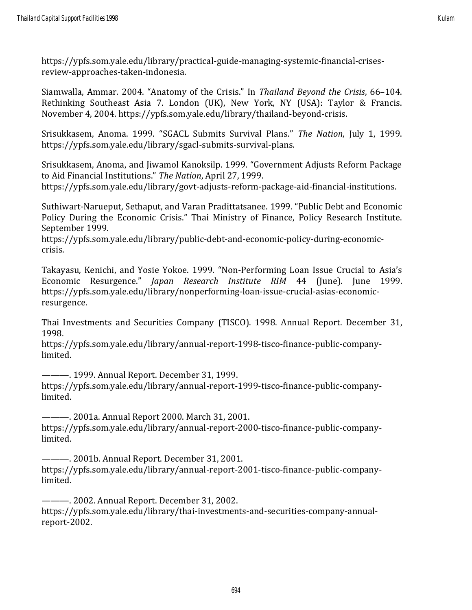https://ypfs.som.yale.edu/library/practical-guide-managing-systemic-financial-crisesreview-approaches-taken-indonesia.

Siamwalla, Ammar. 2004. "Anatomy of the Crisis." In *Thailand Beyond the Crisis*, 66–104. Rethinking Southeast Asia 7. London (UK), New York, NY (USA): Taylor & Francis. November 4, 2004. https://ypfs.som.yale.edu/library/thailand-beyond-crisis.

Srisukkasem, Anoma. 1999. "SGACL Submits Survival Plans." *The Nation*, July 1, 1999. https://ypfs.som.yale.edu/library/sgacl-submits-survival-plans.

Srisukkasem, Anoma, and Jiwamol Kanoksilp. 1999. "Government Adjusts Reform Package to Aid Financial Institutions." *The Nation*, April 27, 1999.

https://ypfs.som.yale.edu/library/govt-adjusts-reform-package-aid-financial-institutions.

Suthiwart-Narueput, Sethaput, and Varan Pradittatsanee. 1999. "Public Debt and Economic Policy During the Economic Crisis." Thai Ministry of Finance, Policy Research Institute. September 1999.

https://ypfs.som.yale.edu/library/public-debt-and-economic-policy-during-economiccrisis.

Takayasu, Kenichi, and Yosie Yokoe. 1999. "Non-Performing Loan Issue Crucial to Asia's Economic Resurgence." *Japan Research Institute RIM* 44 (June). June 1999. https://ypfs.som.yale.edu/library/nonperforming-loan-issue-crucial-asias-economicresurgence.

Thai Investments and Securities Company (TISCO). 1998. Annual Report. December 31, 1998.

https://ypfs.som.yale.edu/library/annual-report-1998-tisco-finance-public-companylimited.

———. 1999. Annual Report. December 31, 1999. https://ypfs.som.yale.edu/library/annual-report-1999-tisco-finance-public-companylimited.

———. 2001a. Annual Report 2000. March 31, 2001. https://ypfs.som.yale.edu/library/annual-report-2000-tisco-finance-public-companylimited.

———. 2001b. Annual Report. December 31, 2001. https://ypfs.som.yale.edu/library/annual-report-2001-tisco-finance-public-companylimited.

———. 2002. Annual Report. December 31, 2002. https://ypfs.som.yale.edu/library/thai-investments-and-securities-company-annualreport-2002.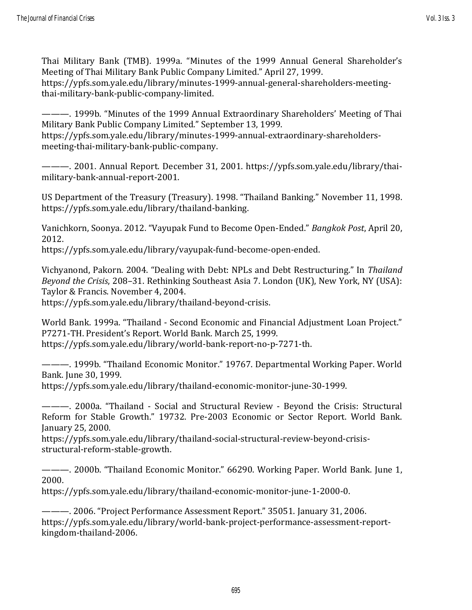Thai Military Bank (TMB). 1999a. "Minutes of the 1999 Annual General Shareholder's Meeting of Thai Military Bank Public Company Limited." April 27, 1999. https://ypfs.som.yale.edu/library/minutes-1999-annual-general-shareholders-meetingthai-military-bank-public-company-limited.

———. 1999b. "Minutes of the 1999 Annual Extraordinary Shareholders' Meeting of Thai Military Bank Public Company Limited." September 13, 1999. https://ypfs.som.yale.edu/library/minutes-1999-annual-extraordinary-shareholders-

meeting-thai-military-bank-public-company.

———. 2001. Annual Report. December 31, 2001. https://ypfs.som.yale.edu/library/thaimilitary-bank-annual-report-2001.

US Department of the Treasury (Treasury). 1998. "Thailand Banking." November 11, 1998. https://ypfs.som.yale.edu/library/thailand-banking.

Vanichkorn, Soonya. 2012. "Vayupak Fund to Become Open-Ended." *Bangkok Post*, April 20, 2012.

https://ypfs.som.yale.edu/library/vayupak-fund-become-open-ended.

Vichyanond, Pakorn. 2004. "Dealing with Debt: NPLs and Debt Restructuring." In *Thailand Beyond the Crisis*, 208–31. Rethinking Southeast Asia 7. London (UK), New York, NY (USA): Taylor & Francis. November 4, 2004.

https://ypfs.som.yale.edu/library/thailand-beyond-crisis.

World Bank. 1999a. "Thailand - Second Economic and Financial Adjustment Loan Project." P7271-TH. President's Report. World Bank. March 25, 1999. https://ypfs.som.yale.edu/library/world-bank-report-no-p-7271-th.

———. 1999b. "Thailand Economic Monitor." 19767. Departmental Working Paper. World Bank. June 30, 1999.

https://ypfs.som.yale.edu/library/thailand-economic-monitor-june-30-1999.

———. 2000a. "Thailand - Social and Structural Review - Beyond the Crisis: Structural Reform for Stable Growth." 19732. Pre-2003 Economic or Sector Report. World Bank. January 25, 2000.

https://ypfs.som.yale.edu/library/thailand-social-structural-review-beyond-crisisstructural-reform-stable-growth.

———. 2000b. "Thailand Economic Monitor." 66290. Working Paper. World Bank. June 1, 2000.

https://ypfs.som.yale.edu/library/thailand-economic-monitor-june-1-2000-0.

———. 2006. "Project Performance Assessment Report." 35051. January 31, 2006. https://ypfs.som.yale.edu/library/world-bank-project-performance-assessment-reportkingdom-thailand-2006.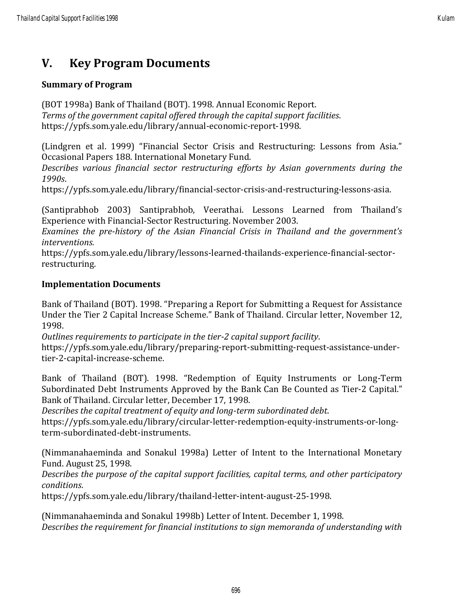### **V. Key Program Documents**

#### **Summary of Program**

(BOT 1998a) Bank of Thailand (BOT). 1998. Annual Economic Report. *Terms of the government capital offered through the capital support facilities*. https://ypfs.som.yale.edu/library/annual-economic-report-1998.

(Lindgren et al. 1999) "Financial Sector Crisis and Restructuring: Lessons from Asia." Occasional Papers 188. International Monetary Fund.

*Describes various financial sector restructuring efforts by Asian governments during the 1990s*.

https://ypfs.som.yale.edu/library/financial-sector-crisis-and-restructuring-lessons-asia.

(Santiprabhob 2003) Santiprabhob, Veerathai. Lessons Learned from Thailand's Experience with Financial-Sector Restructuring. November 2003.

*Examines the pre-history of the Asian Financial Crisis in Thailand and the government's interventions.*

https://ypfs.som.yale.edu/library/lessons-learned-thailands-experience-financial-sectorrestructuring.

#### **Implementation Documents**

Bank of Thailand (BOT). 1998. "Preparing a Report for Submitting a Request for Assistance Under the Tier 2 Capital Increase Scheme." Bank of Thailand. Circular letter, November 12, 1998.

*Outlines requirements to participate in the tier-2 capital support facility*.

https://ypfs.som.yale.edu/library/preparing-report-submitting-request-assistance-undertier-2-capital-increase-scheme.

Bank of Thailand (BOT). 1998. "Redemption of Equity Instruments or Long-Term Subordinated Debt Instruments Approved by the Bank Can Be Counted as Tier-2 Capital." Bank of Thailand. Circular letter, December 17, 1998.

*Describes the capital treatment of equity and long-term subordinated debt*.

https://ypfs.som.yale.edu/library/circular-letter-redemption-equity-instruments-or-longterm-subordinated-debt-instruments.

(Nimmanahaeminda and Sonakul 1998a) Letter of Intent to the International Monetary Fund. August 25, 1998.

*Describes the purpose of the capital support facilities, capital terms, and other participatory conditions*.

https://ypfs.som.yale.edu/library/thailand-letter-intent-august-25-1998.

(Nimmanahaeminda and Sonakul 1998b) Letter of Intent. December 1, 1998. *Describes the requirement for financial institutions to sign memoranda of understanding with*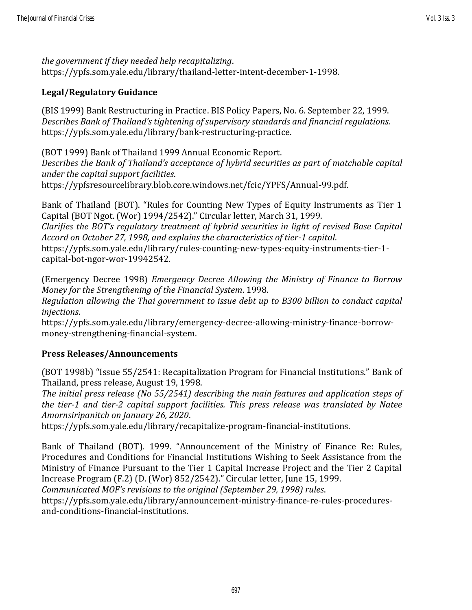*the government if they needed help recapitalizing*. https://ypfs.som.yale.edu/library/thailand-letter-intent-december-1-1998.

#### **Legal/Regulatory Guidance**

(BIS 1999) Bank Restructuring in Practice. BIS Policy Papers, No. 6. September 22, 1999. *Describes Bank of Thailand's tightening of supervisory standards and financial regulations.* https://ypfs.som.yale.edu/library/bank-restructuring-practice.

(BOT 1999) Bank of Thailand 1999 Annual Economic Report. *Describes the Bank of Thailand's acceptance of hybrid securities as part of matchable capital under the capital support facilities*. https://ypfsresourcelibrary.blob.core.windows.net/fcic/YPFS/Annual-99.pdf.

Bank of Thailand (BOT). "Rules for Counting New Types of Equity Instruments as Tier 1 Capital (BOT Ngot. (Wor) 1994/2542)." Circular letter, March 31, 1999. *Clarifies the BOT's regulatory treatment of hybrid securities in light of revised Base Capital Accord on October 27, 1998, and explains the characteristics of tier-1 capital*. https://ypfs.som.yale.edu/library/rules-counting-new-types-equity-instruments-tier-1 capital-bot-ngor-wor-19942542.

(Emergency Decree 1998) *Emergency Decree Allowing the Ministry of Finance to Borrow Money for the Strengthening of the Financial System*. 1998.

*Regulation allowing the Thai government to issue debt up to B300 billion to conduct capital injections*.

https://ypfs.som.yale.edu/library/emergency-decree-allowing-ministry-finance-borrowmoney-strengthening-financial-system.

#### **Press Releases/Announcements**

(BOT 1998b) "Issue 55/2541: Recapitalization Program for Financial Institutions." Bank of Thailand, press release, August 19, 1998.

*The initial press release (No 55/2541) describing the main features and application steps of the tier-1 and tier-2 capital support facilities. This press release was translated by Natee Amornsiripanitch on January 26, 2020*.

https://ypfs.som.yale.edu/library/recapitalize-program-financial-institutions.

Bank of Thailand (BOT). 1999. "Announcement of the Ministry of Finance Re: Rules, Procedures and Conditions for Financial Institutions Wishing to Seek Assistance from the Ministry of Finance Pursuant to the Tier 1 Capital Increase Project and the Tier 2 Capital Increase Program (F.2) (D. (Wor) 852/2542)." Circular letter, June 15, 1999.

*Communicated MOF's revisions to the original (September 29, 1998) rules*.

https://ypfs.som.yale.edu/library/announcement-ministry-finance-re-rules-proceduresand-conditions-financial-institutions.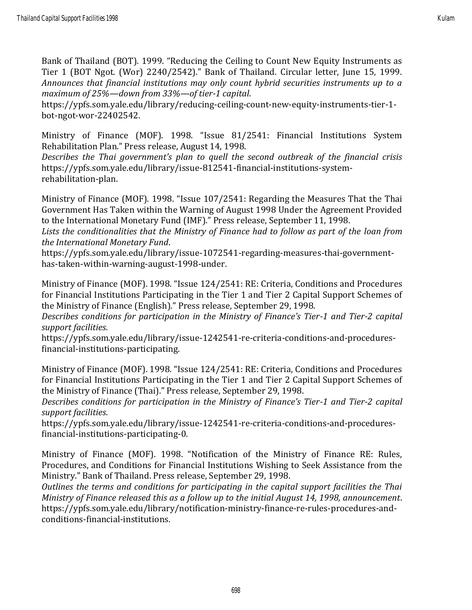Bank of Thailand (BOT). 1999. "Reducing the Ceiling to Count New Equity Instruments as Tier 1 (BOT Ngot. (Wor) 2240/2542)." Bank of Thailand. Circular letter, June 15, 1999. *Announces that financial institutions may only count hybrid securities instruments up to a maximum of 25%—down from 33%—of tier-1 capital*.

https://ypfs.som.yale.edu/library/reducing-ceiling-count-new-equity-instruments-tier-1 bot-ngot-wor-22402542.

Ministry of Finance (MOF). 1998. "Issue 81/2541: Financial Institutions System Rehabilitation Plan." Press release, August 14, 1998.

*Describes the Thai government's plan to quell the second outbreak of the financial crisis* https://ypfs.som.yale.edu/library/issue-812541-financial-institutions-systemrehabilitation-plan.

Ministry of Finance (MOF). 1998. "Issue 107/2541: Regarding the Measures That the Thai Government Has Taken within the Warning of August 1998 Under the Agreement Provided to the International Monetary Fund (IMF)." Press release, September 11, 1998.

*Lists the conditionalities that the Ministry of Finance had to follow as part of the loan from the International Monetary Fund*.

https://ypfs.som.yale.edu/library/issue-1072541-regarding-measures-thai-governmenthas-taken-within-warning-august-1998-under.

Ministry of Finance (MOF). 1998. "Issue 124/2541: RE: Criteria, Conditions and Procedures for Financial Institutions Participating in the Tier 1 and Tier 2 Capital Support Schemes of the Ministry of Finance (English)." Press release, September 29, 1998.

*Describes conditions for participation in the Ministry of Finance's Tier-1 and Tier-2 capital support facilities*.

https://ypfs.som.yale.edu/library/issue-1242541-re-criteria-conditions-and-proceduresfinancial-institutions-participating.

Ministry of Finance (MOF). 1998. "Issue 124/2541: RE: Criteria, Conditions and Procedures for Financial Institutions Participating in the Tier 1 and Tier 2 Capital Support Schemes of the Ministry of Finance (Thai)." Press release, September 29, 1998.

*Describes conditions for participation in the Ministry of Finance's Tier-1 and Tier-2 capital support facilities*.

https://ypfs.som.yale.edu/library/issue-1242541-re-criteria-conditions-and-proceduresfinancial-institutions-participating-0.

Ministry of Finance (MOF). 1998. "Notification of the Ministry of Finance RE: Rules, Procedures, and Conditions for Financial Institutions Wishing to Seek Assistance from the Ministry." Bank of Thailand. Press release, September 29, 1998.

*Outlines the terms and conditions for participating in the capital support facilities the Thai Ministry of Finance released this as a follow up to the initial August 14, 1998, announcement*. https://ypfs.som.yale.edu/library/notification-ministry-finance-re-rules-procedures-andconditions-financial-institutions.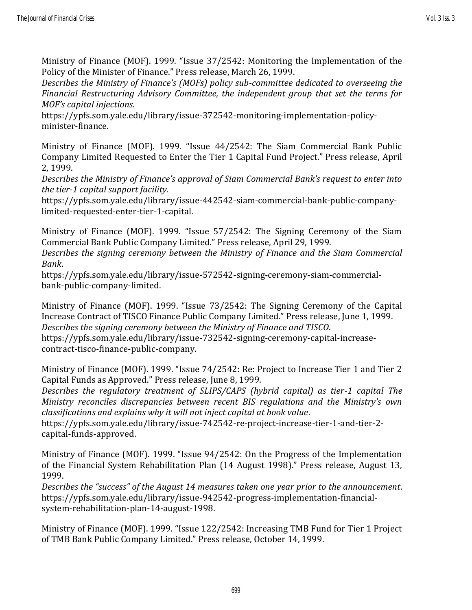Ministry of Finance (MOF). 1999. "Issue 37/2542: Monitoring the Implementation of the Policy of the Minister of Finance." Press release, March 26, 1999.

*Describes the Ministry of Finance's (MOFs) policy sub-committee dedicated to overseeing the Financial Restructuring Advisory Committee, the independent group that set the terms for MOF's capital injections*.

https://ypfs.som.yale.edu/library/issue-372542-monitoring-implementation-policyminister-finance.

Ministry of Finance (MOF). 1999. "Issue 44/2542: The Siam Commercial Bank Public Company Limited Requested to Enter the Tier 1 Capital Fund Project." Press release, April 2, 1999.

*Describes the Ministry of Finance's approval of Siam Commercial Bank's request to enter into the tier-1 capital support facility.* 

https://ypfs.som.yale.edu/library/issue-442542-siam-commercial-bank-public-companylimited-requested-enter-tier-1-capital.

Ministry of Finance (MOF). 1999. "Issue 57/2542: The Signing Ceremony of the Siam Commercial Bank Public Company Limited." Press release, April 29, 1999.

*Describes the signing ceremony between the Ministry of Finance and the Siam Commercial Bank*.

https://ypfs.som.yale.edu/library/issue-572542-signing-ceremony-siam-commercialbank-public-company-limited.

Ministry of Finance (MOF). 1999. "Issue 73/2542: The Signing Ceremony of the Capital Increase Contract of TISCO Finance Public Company Limited." Press release, June 1, 1999. *Describes the signing ceremony between the Ministry of Finance and TISCO*.

https://ypfs.som.yale.edu/library/issue-732542-signing-ceremony-capital-increasecontract-tisco-finance-public-company.

Ministry of Finance (MOF). 1999. "Issue 74/2542: Re: Project to Increase Tier 1 and Tier 2 Capital Funds as Approved." Press release, June 8, 1999.

*Describes the regulatory treatment of SLIPS/CAPS (hybrid capital) as tier-1 capital The Ministry reconciles discrepancies between recent BIS regulations and the Ministry's own classifications and explains why it will not inject capital at book value*.

https://ypfs.som.yale.edu/library/issue-742542-re-project-increase-tier-1-and-tier-2 capital-funds-approved.

Ministry of Finance (MOF). 1999. "Issue 94/2542: On the Progress of the Implementation of the Financial System Rehabilitation Plan (14 August 1998)." Press release, August 13, 1999.

*Describes the "success" of the August 14 measures taken one year prior to the announcement*. https://ypfs.som.yale.edu/library/issue-942542-progress-implementation-financialsystem-rehabilitation-plan-14-august-1998.

Ministry of Finance (MOF). 1999. "Issue 122/2542: Increasing TMB Fund for Tier 1 Project of TMB Bank Public Company Limited." Press release, October 14, 1999.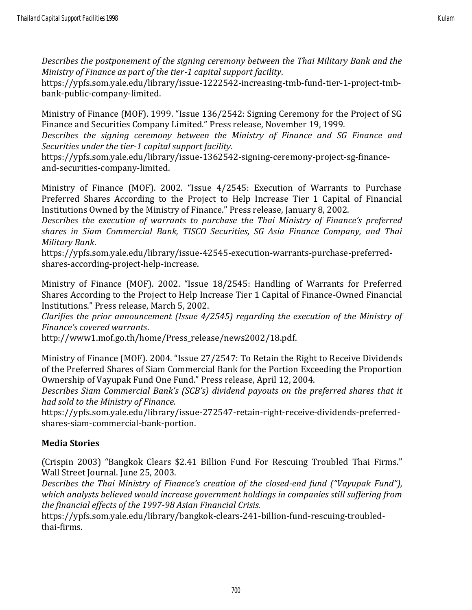*Describes the postponement of the signing ceremony between the Thai Military Bank and the Ministry of Finance as part of the tier-1 capital support facility*.

https://ypfs.som.yale.edu/library/issue-1222542-increasing-tmb-fund-tier-1-project-tmbbank-public-company-limited.

Ministry of Finance (MOF). 1999. "Issue 136/2542: Signing Ceremony for the Project of SG Finance and Securities Company Limited." Press release, November 19, 1999.

*Describes the signing ceremony between the Ministry of Finance and SG Finance and Securities under the tier-1 capital support facility*.

https://ypfs.som.yale.edu/library/issue-1362542-signing-ceremony-project-sg-financeand-securities-company-limited.

Ministry of Finance (MOF). 2002. "Issue 4/2545: Execution of Warrants to Purchase Preferred Shares According to the Project to Help Increase Tier 1 Capital of Financial Institutions Owned by the Ministry of Finance." Press release, January 8, 2002.

*Describes the execution of warrants to purchase the Thai Ministry of Finance's preferred shares in Siam Commercial Bank, TISCO Securities, SG Asia Finance Company, and Thai Military Bank*.

https://ypfs.som.yale.edu/library/issue-42545-execution-warrants-purchase-preferredshares-according-project-help-increase.

Ministry of Finance (MOF). 2002. "Issue 18/2545: Handling of Warrants for Preferred Shares According to the Project to Help Increase Tier 1 Capital of Finance-Owned Financial Institutions." Press release, March 5, 2002.

*Clarifies the prior announcement (Issue 4/2545) regarding the execution of the Ministry of Finance's covered warrants*.

http://www1.mof.go.th/home/Press\_release/news2002/18.pdf.

Ministry of Finance (MOF). 2004. "Issue 27/2547: To Retain the Right to Receive Dividends of the Preferred Shares of Siam Commercial Bank for the Portion Exceeding the Proportion Ownership of Vayupak Fund One Fund." Press release, April 12, 2004.

*Describes Siam Commercial Bank's (SCB's) dividend payouts on the preferred shares that it had sold to the Ministry of Finance.*

https://ypfs.som.yale.edu/library/issue-272547-retain-right-receive-dividends-preferredshares-siam-commercial-bank-portion.

#### **Media Stories**

(Crispin 2003) "Bangkok Clears \$2.41 Billion Fund For Rescuing Troubled Thai Firms." Wall Street Journal. June 25, 2003.

*Describes the Thai Ministry of Finance's creation of the closed-end fund ("Vayupak Fund"), which analysts believed would increase government holdings in companies still suffering from the financial effects of the 1997-98 Asian Financial Crisis.*

https://ypfs.som.yale.edu/library/bangkok-clears-241-billion-fund-rescuing-troubledthai-firms.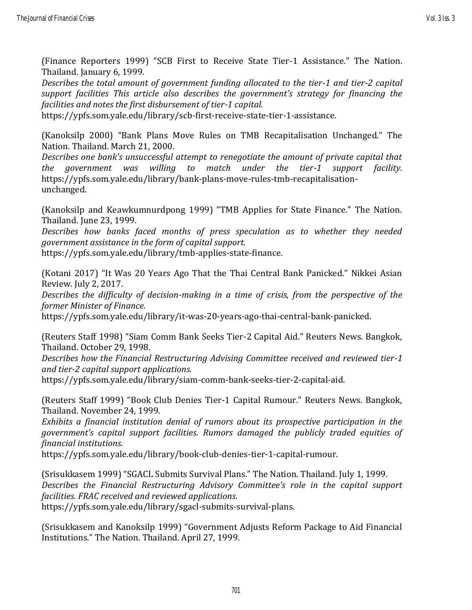(Finance Reporters 1999) "SCB First to Receive State Tier-1 Assistance." The Nation. Thailand. January 6, 1999.

*Describes the total amount of government funding allocated to the tier-1 and tier-2 capital support facilities This article also describes the government's strategy for financing the facilities and notes the first disbursement of tier-1 capital.*

https://ypfs.som.yale.edu/library/scb-first-receive-state-tier-1-assistance.

(Kanoksilp 2000) "Bank Plans Move Rules on TMB Recapitalisation Unchanged." The Nation. Thailand. March 21, 2000.

*Describes one bank's unsuccessful attempt to renegotiate the amount of private capital that the government was willing to match under the tier-1 support facility.* https://ypfs.som.yale.edu/library/bank-plans-move-rules-tmb-recapitalisationunchanged.

(Kanoksilp and Keawkumnurdpong 1999) "TMB Applies for State Finance." The Nation. Thailand. June 23, 1999.

*Describes how banks faced months of press speculation as to whether they needed government assistance in the form of capital support.*

https://ypfs.som.yale.edu/library/tmb-applies-state-finance.

(Kotani 2017) "It Was 20 Years Ago That the Thai Central Bank Panicked." Nikkei Asian Review. July 2, 2017.

*Describes the difficulty of decision-making in a time of crisis, from the perspective of the former Minister of Finance.* 

https://ypfs.som.yale.edu/library/it-was-20-years-ago-thai-central-bank-panicked.

(Reuters Staff 1998) "Siam Comm Bank Seeks Tier-2 Capital Aid." Reuters News. Bangkok, Thailand. October 29, 1998.

*Describes how the Financial Restructuring Advising Committee received and reviewed tier-1 and tier-2 capital support applications.* 

https://ypfs.som.yale.edu/library/siam-comm-bank-seeks-tier-2-capital-aid.

(Reuters Staff 1999) "Book Club Denies Tier-1 Capital Rumour." Reuters News. Bangkok, Thailand. November 24, 1999.

*Exhibits a financial institution denial of rumors about its prospective participation in the government's capital support facilities. Rumors damaged the publicly traded equities of financial institutions.*

https://ypfs.som.yale.edu/library/book-club-denies-tier-1-capital-rumour.

(Srisukkasem 1999) "SGACL Submits Survival Plans." The Nation. Thailand. July 1, 1999. *Describes the Financial Restructuring Advisory Committee's role in the capital support facilities. FRAC received and reviewed applications.*

https://ypfs.som.yale.edu/library/sgacl-submits-survival-plans.

(Srisukkasem and Kanoksilp 1999) "Government Adjusts Reform Package to Aid Financial Institutions." The Nation. Thailand. April 27, 1999.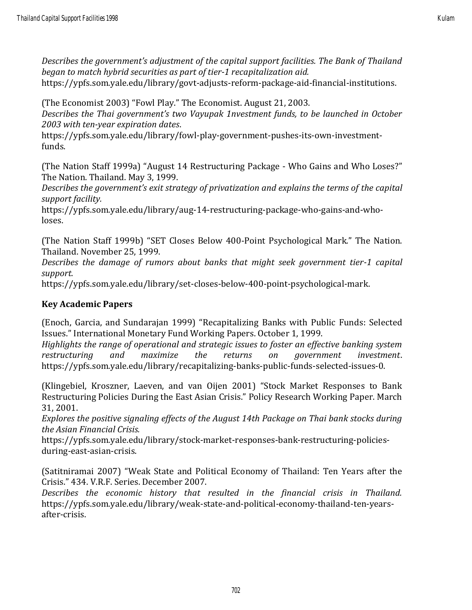(The Economist 2003) "Fowl Play." The Economist. August 21, 2003.

*Describes the Thai government's two Vayupak 1nvestment funds, to be launched in October 2003 with ten-year expiration dates*.

https://ypfs.som.yale.edu/library/fowl-play-government-pushes-its-own-investmentfunds.

(The Nation Staff 1999a) "August 14 Restructuring Package - Who Gains and Who Loses?" The Nation. Thailand. May 3, 1999.

*Describes the government's exit strategy of privatization and explains the terms of the capital support facility.*

https://ypfs.som.yale.edu/library/aug-14-restructuring-package-who-gains-and-wholoses.

(The Nation Staff 1999b) "SET Closes Below 400-Point Psychological Mark." The Nation. Thailand. November 25, 1999.

*Describes the damage of rumors about banks that might seek government tier-1 capital support.*

https://ypfs.som.yale.edu/library/set-closes-below-400-point-psychological-mark.

#### **Key Academic Papers**

(Enoch, Garcia, and Sundarajan 1999) "Recapitalizing Banks with Public Funds: Selected Issues." International Monetary Fund Working Papers. October 1, 1999.

*Highlights the range of operational and strategic issues to foster an effective banking system restructuring and maximize the returns on government investment*. https://ypfs.som.yale.edu/library/recapitalizing-banks-public-funds-selected-issues-0.

(Klingebiel, Kroszner, Laeven, and van Oijen 2001) "Stock Market Responses to Bank Restructuring Policies During the East Asian Crisis." Policy Research Working Paper. March 31, 2001.

*Explores the positive signaling effects of the August 14th Package on Thai bank stocks during the Asian Financial Crisis.*

https://ypfs.som.yale.edu/library/stock-market-responses-bank-restructuring-policiesduring-east-asian-crisis.

(Satitniramai 2007) "Weak State and Political Economy of Thailand: Ten Years after the Crisis." 434. V.R.F. Series. December 2007.

*Describes the economic history that resulted in the financial crisis in Thailand.* https://ypfs.som.yale.edu/library/weak-state-and-political-economy-thailand-ten-yearsafter-crisis.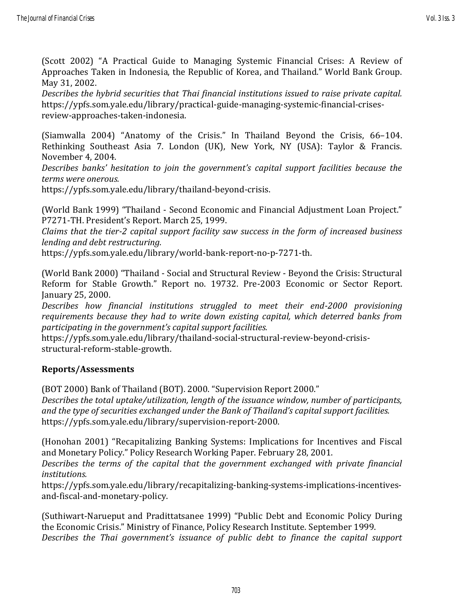(Scott 2002) "A Practical Guide to Managing Systemic Financial Crises: A Review of Approaches Taken in Indonesia, the Republic of Korea, and Thailand." World Bank Group. May 31, 2002.

*Describes the hybrid securities that Thai financial institutions issued to raise private capital.* https://ypfs.som.yale.edu/library/practical-guide-managing-systemic-financial-crisesreview-approaches-taken-indonesia.

(Siamwalla 2004) "Anatomy of the Crisis." In Thailand Beyond the Crisis, 66–104. Rethinking Southeast Asia 7. London (UK), New York, NY (USA): Taylor & Francis. November 4, 2004.

*Describes banks' hesitation to join the government's capital support facilities because the terms were onerous.*

https://ypfs.som.yale.edu/library/thailand-beyond-crisis.

(World Bank 1999) "Thailand - Second Economic and Financial Adjustment Loan Project." P7271-TH. President's Report. March 25, 1999.

*Claims that the tier-2 capital support facility saw success in the form of increased business lending and debt restructuring.*

https://ypfs.som.yale.edu/library/world-bank-report-no-p-7271-th.

(World Bank 2000) "Thailand - Social and Structural Review - Beyond the Crisis: Structural Reform for Stable Growth." Report no. 19732. Pre-2003 Economic or Sector Report. January 25, 2000.

*Describes how financial institutions struggled to meet their end-2000 provisioning requirements because they had to write down existing capital, which deterred banks from participating in the government's capital support facilities.*

https://ypfs.som.yale.edu/library/thailand-social-structural-review-beyond-crisisstructural-reform-stable-growth.

#### **Reports/Assessments**

(BOT 2000) Bank of Thailand (BOT). 2000. "Supervision Report 2000."

*Describes the total uptake/utilization, length of the issuance window, number of participants, and the type of securities exchanged under the Bank of Thailand's capital support facilities.* https://ypfs.som.yale.edu/library/supervision-report-2000.

(Honohan 2001) "Recapitalizing Banking Systems: Implications for Incentives and Fiscal and Monetary Policy." Policy Research Working Paper. February 28, 2001.

*Describes the terms of the capital that the government exchanged with private financial institutions.*

https://ypfs.som.yale.edu/library/recapitalizing-banking-systems-implications-incentivesand-fiscal-and-monetary-policy.

(Suthiwart-Narueput and Pradittatsanee 1999) "Public Debt and Economic Policy During the Economic Crisis." Ministry of Finance, Policy Research Institute. September 1999. *Describes the Thai government's issuance of public debt to finance the capital support*